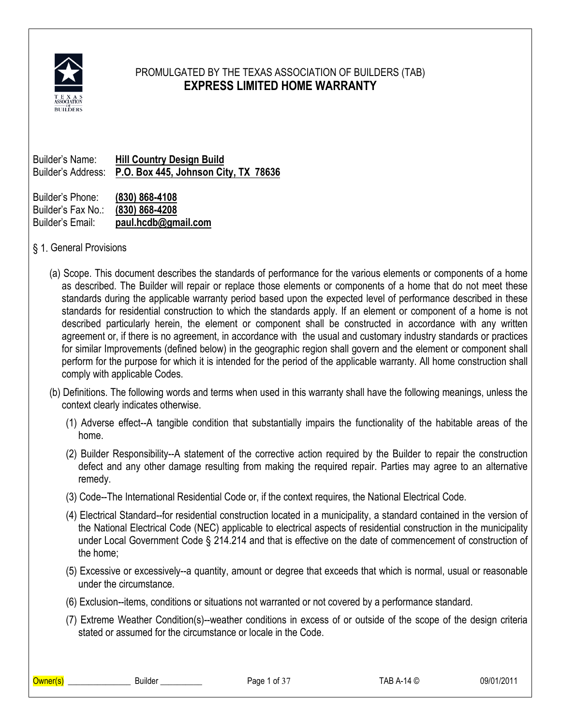

# PROMULGATED BY THE TEXAS ASSOCIATION OF BUILDERS (TAB) **EXPRESS LIMITED HOME WARRANTY**

Builder's Name: **Hill Country Design Build** Builder's Address: **P.O. Box 445, Johnson City, TX 78636**

Builder's Phone: **(830) 868-4108** Builder's Fax No.: **(830) 868-4208** Builder's Email: **paul.hcdb@gmail.com**

§ 1. General Provisions

- (a) Scope. This document describes the standards of performance for the various elements or components of a home as described. The Builder will repair or replace those elements or components of a home that do not meet these standards during the applicable warranty period based upon the expected level of performance described in these standards for residential construction to which the standards apply. If an element or component of a home is not described particularly herein, the element or component shall be constructed in accordance with any written agreement or, if there is no agreement, in accordance with the usual and customary industry standards or practices for similar Improvements (defined below) in the geographic region shall govern and the element or component shall perform for the purpose for which it is intended for the period of the applicable warranty. All home construction shall comply with applicable Codes.
- (b) Definitions. The following words and terms when used in this warranty shall have the following meanings, unless the context clearly indicates otherwise.
	- (1) Adverse effect--A tangible condition that substantially impairs the functionality of the habitable areas of the home.
	- (2) Builder Responsibility--A statement of the corrective action required by the Builder to repair the construction defect and any other damage resulting from making the required repair. Parties may agree to an alternative remedy.
	- (3) Code--The International Residential Code or, if the context requires, the National Electrical Code.
	- (4) Electrical Standard--for residential construction located in a municipality, a standard contained in the version of the National Electrical Code (NEC) applicable to electrical aspects of residential construction in the municipality under Local Government Code § 214.214 and that is effective on the date of commencement of construction of the home;
	- (5) Excessive or excessively--a quantity, amount or degree that exceeds that which is normal, usual or reasonable under the circumstance.
	- (6) Exclusion--items, conditions or situations not warranted or not covered by a performance standard.
	- (7) Extreme Weather Condition(s)--weather conditions in excess of or outside of the scope of the design criteria stated or assumed for the circumstance or locale in the Code.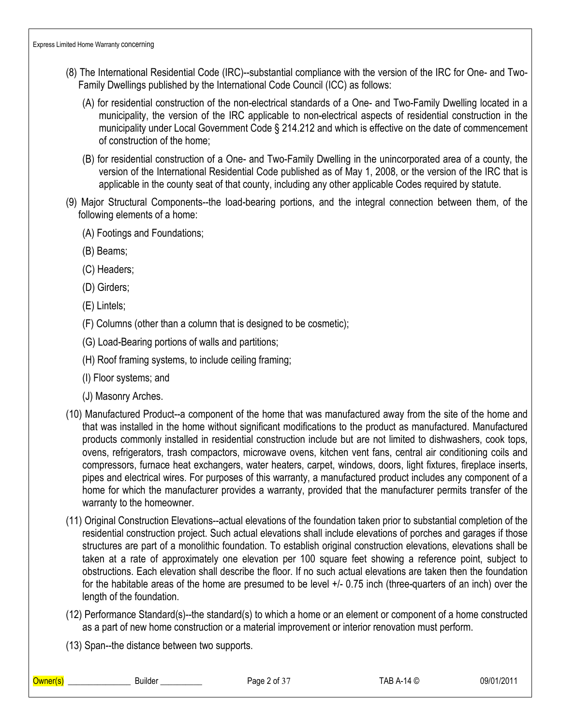- (8) The International Residential Code (IRC)--substantial compliance with the version of the IRC for One- and Two-Family Dwellings published by the International Code Council (ICC) as follows:
	- (A) for residential construction of the non-electrical standards of a One- and Two-Family Dwelling located in a municipality, the version of the IRC applicable to non-electrical aspects of residential construction in the municipality under Local Government Code § 214.212 and which is effective on the date of commencement of construction of the home;
	- (B) for residential construction of a One- and Two-Family Dwelling in the unincorporated area of a county, the version of the International Residential Code published as of May 1, 2008, or the version of the IRC that is applicable in the county seat of that county, including any other applicable Codes required by statute.
- (9) Major Structural Components--the load-bearing portions, and the integral connection between them, of the following elements of a home:
	- (A) Footings and Foundations;
	- (B) Beams;
	- (C) Headers;
	- (D) Girders;
	- (E) Lintels;
	- (F) Columns (other than a column that is designed to be cosmetic);
	- (G) Load-Bearing portions of walls and partitions;
	- (H) Roof framing systems, to include ceiling framing;
	- (I) Floor systems; and
	- (J) Masonry Arches.
- (10) Manufactured Product--a component of the home that was manufactured away from the site of the home and that was installed in the home without significant modifications to the product as manufactured. Manufactured products commonly installed in residential construction include but are not limited to dishwashers, cook tops, ovens, refrigerators, trash compactors, microwave ovens, kitchen vent fans, central air conditioning coils and compressors, furnace heat exchangers, water heaters, carpet, windows, doors, light fixtures, fireplace inserts, pipes and electrical wires. For purposes of this warranty, a manufactured product includes any component of a home for which the manufacturer provides a warranty, provided that the manufacturer permits transfer of the warranty to the homeowner.
- (11) Original Construction Elevations--actual elevations of the foundation taken prior to substantial completion of the residential construction project. Such actual elevations shall include elevations of porches and garages if those structures are part of a monolithic foundation. To establish original construction elevations, elevations shall be taken at a rate of approximately one elevation per 100 square feet showing a reference point, subject to obstructions. Each elevation shall describe the floor. If no such actual elevations are taken then the foundation for the habitable areas of the home are presumed to be level +/- 0.75 inch (three-quarters of an inch) over the length of the foundation.
- (12) Performance Standard(s)--the standard(s) to which a home or an element or component of a home constructed as a part of new home construction or a material improvement or interior renovation must perform.
- (13) Span--the distance between two supports.

| l<br>v۳ | Builder | aae<br>$'$ of $\cdot$ | _ _ _<br>$\sqrt{2}$<br>.∧ ⊨<br>ש<br>- | 09/01<br>. .<br>. |
|---------|---------|-----------------------|---------------------------------------|-------------------|
|         |         |                       |                                       |                   |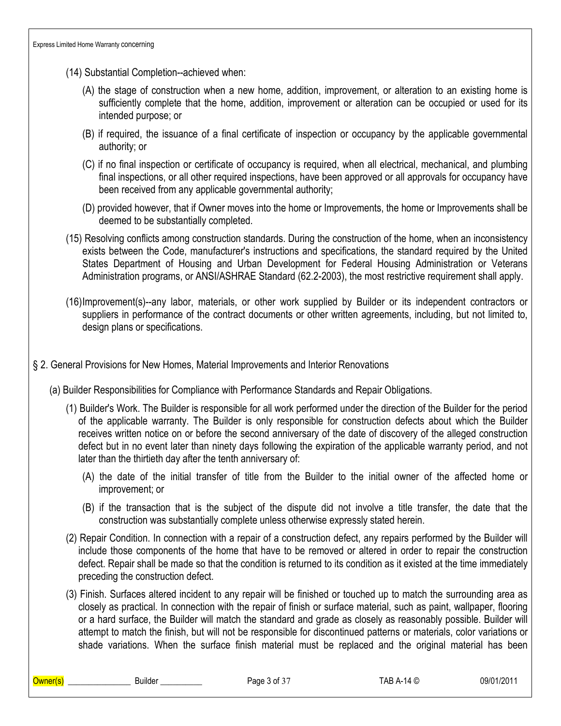- (14) Substantial Completion--achieved when:
	- (A) the stage of construction when a new home, addition, improvement, or alteration to an existing home is sufficiently complete that the home, addition, improvement or alteration can be occupied or used for its intended purpose; or
	- (B) if required, the issuance of a final certificate of inspection or occupancy by the applicable governmental authority; or
	- (C) if no final inspection or certificate of occupancy is required, when all electrical, mechanical, and plumbing final inspections, or all other required inspections, have been approved or all approvals for occupancy have been received from any applicable governmental authority;
	- (D) provided however, that if Owner moves into the home or Improvements, the home or Improvements shall be deemed to be substantially completed.
- (15) Resolving conflicts among construction standards. During the construction of the home, when an inconsistency exists between the Code, manufacturer's instructions and specifications, the standard required by the United States Department of Housing and Urban Development for Federal Housing Administration or Veterans Administration programs, or ANSI/ASHRAE Standard (62.2-2003), the most restrictive requirement shall apply.
- (16)Improvement(s)--any labor, materials, or other work supplied by Builder or its independent contractors or suppliers in performance of the contract documents or other written agreements, including, but not limited to, design plans or specifications.
- § 2. General Provisions for New Homes, Material Improvements and Interior Renovations
	- (a) Builder Responsibilities for Compliance with Performance Standards and Repair Obligations.
		- (1) Builder's Work. The Builder is responsible for all work performed under the direction of the Builder for the period of the applicable warranty. The Builder is only responsible for construction defects about which the Builder receives written notice on or before the second anniversary of the date of discovery of the alleged construction defect but in no event later than ninety days following the expiration of the applicable warranty period, and not later than the thirtieth day after the tenth anniversary of:
			- (A) the date of the initial transfer of title from the Builder to the initial owner of the affected home or improvement; or
			- (B) if the transaction that is the subject of the dispute did not involve a title transfer, the date that the construction was substantially complete unless otherwise expressly stated herein.
		- (2) Repair Condition. In connection with a repair of a construction defect, any repairs performed by the Builder will include those components of the home that have to be removed or altered in order to repair the construction defect. Repair shall be made so that the condition is returned to its condition as it existed at the time immediately preceding the construction defect.
		- (3) Finish. Surfaces altered incident to any repair will be finished or touched up to match the surrounding area as closely as practical. In connection with the repair of finish or surface material, such as paint, wallpaper, flooring or a hard surface, the Builder will match the standard and grade as closely as reasonably possible. Builder will attempt to match the finish, but will not be responsible for discontinued patterns or materials, color variations or shade variations. When the surface finish material must be replaced and the original material has been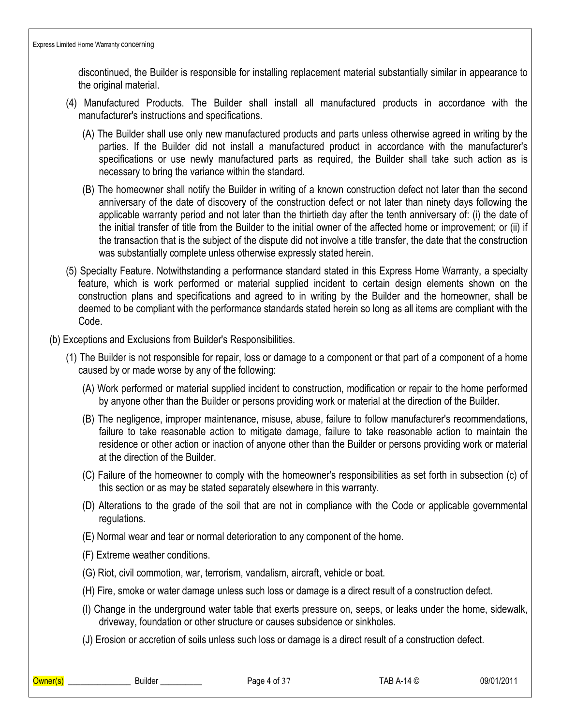discontinued, the Builder is responsible for installing replacement material substantially similar in appearance to the original material.

- (4) Manufactured Products. The Builder shall install all manufactured products in accordance with the manufacturer's instructions and specifications.
	- (A) The Builder shall use only new manufactured products and parts unless otherwise agreed in writing by the parties. If the Builder did not install a manufactured product in accordance with the manufacturer's specifications or use newly manufactured parts as required, the Builder shall take such action as is necessary to bring the variance within the standard.
	- (B) The homeowner shall notify the Builder in writing of a known construction defect not later than the second anniversary of the date of discovery of the construction defect or not later than ninety days following the applicable warranty period and not later than the thirtieth day after the tenth anniversary of: (i) the date of the initial transfer of title from the Builder to the initial owner of the affected home or improvement; or (ii) if the transaction that is the subject of the dispute did not involve a title transfer, the date that the construction was substantially complete unless otherwise expressly stated herein.
- (5) Specialty Feature. Notwithstanding a performance standard stated in this Express Home Warranty, a specialty feature, which is work performed or material supplied incident to certain design elements shown on the construction plans and specifications and agreed to in writing by the Builder and the homeowner, shall be deemed to be compliant with the performance standards stated herein so long as all items are compliant with the Code.
- (b) Exceptions and Exclusions from Builder's Responsibilities.
	- (1) The Builder is not responsible for repair, loss or damage to a component or that part of a component of a home caused by or made worse by any of the following:
		- (A) Work performed or material supplied incident to construction, modification or repair to the home performed by anyone other than the Builder or persons providing work or material at the direction of the Builder.
		- (B) The negligence, improper maintenance, misuse, abuse, failure to follow manufacturer's recommendations, failure to take reasonable action to mitigate damage, failure to take reasonable action to maintain the residence or other action or inaction of anyone other than the Builder or persons providing work or material at the direction of the Builder.
		- (C) Failure of the homeowner to comply with the homeowner's responsibilities as set forth in subsection (c) of this section or as may be stated separately elsewhere in this warranty.
		- (D) Alterations to the grade of the soil that are not in compliance with the Code or applicable governmental regulations.
		- (E) Normal wear and tear or normal deterioration to any component of the home.
		- (F) Extreme weather conditions.
		- (G) Riot, civil commotion, war, terrorism, vandalism, aircraft, vehicle or boat.
		- (H) Fire, smoke or water damage unless such loss or damage is a direct result of a construction defect.
		- (I) Change in the underground water table that exerts pressure on, seeps, or leaks under the home, sidewalk, driveway, foundation or other structure or causes subsidence or sinkholes.
		- (J) Erosion or accretion of soils unless such loss or damage is a direct result of a construction defect.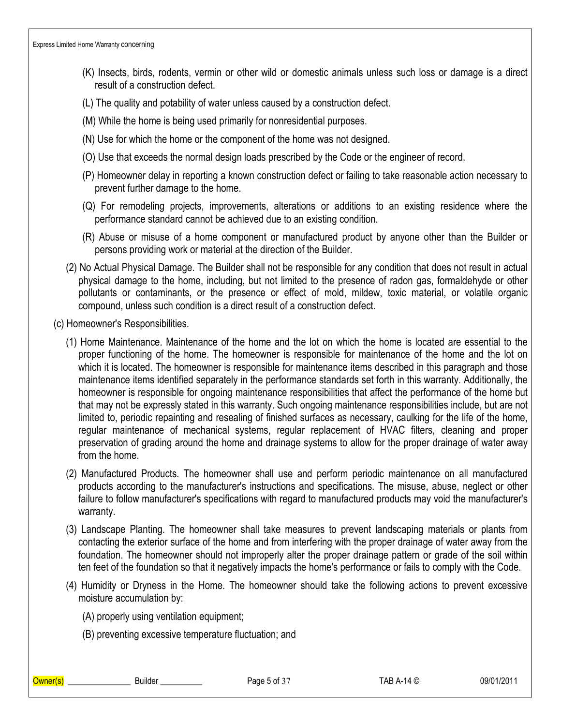- (K) Insects, birds, rodents, vermin or other wild or domestic animals unless such loss or damage is a direct result of a construction defect.
- (L) The quality and potability of water unless caused by a construction defect.
- (M) While the home is being used primarily for nonresidential purposes.
- (N) Use for which the home or the component of the home was not designed.
- (O) Use that exceeds the normal design loads prescribed by the Code or the engineer of record.
- (P) Homeowner delay in reporting a known construction defect or failing to take reasonable action necessary to prevent further damage to the home.
- (Q) For remodeling projects, improvements, alterations or additions to an existing residence where the performance standard cannot be achieved due to an existing condition.
- (R) Abuse or misuse of a home component or manufactured product by anyone other than the Builder or persons providing work or material at the direction of the Builder.
- (2) No Actual Physical Damage. The Builder shall not be responsible for any condition that does not result in actual physical damage to the home, including, but not limited to the presence of radon gas, formaldehyde or other pollutants or contaminants, or the presence or effect of mold, mildew, toxic material, or volatile organic compound, unless such condition is a direct result of a construction defect.
- (c) Homeowner's Responsibilities.
	- (1) Home Maintenance. Maintenance of the home and the lot on which the home is located are essential to the proper functioning of the home. The homeowner is responsible for maintenance of the home and the lot on which it is located. The homeowner is responsible for maintenance items described in this paragraph and those maintenance items identified separately in the performance standards set forth in this warranty. Additionally, the homeowner is responsible for ongoing maintenance responsibilities that affect the performance of the home but that may not be expressly stated in this warranty. Such ongoing maintenance responsibilities include, but are not limited to, periodic repainting and resealing of finished surfaces as necessary, caulking for the life of the home, regular maintenance of mechanical systems, regular replacement of HVAC filters, cleaning and proper preservation of grading around the home and drainage systems to allow for the proper drainage of water away from the home.
	- (2) Manufactured Products. The homeowner shall use and perform periodic maintenance on all manufactured products according to the manufacturer's instructions and specifications. The misuse, abuse, neglect or other failure to follow manufacturer's specifications with regard to manufactured products may void the manufacturer's warranty.
	- (3) Landscape Planting. The homeowner shall take measures to prevent landscaping materials or plants from contacting the exterior surface of the home and from interfering with the proper drainage of water away from the foundation. The homeowner should not improperly alter the proper drainage pattern or grade of the soil within ten feet of the foundation so that it negatively impacts the home's performance or fails to comply with the Code.
	- (4) Humidity or Dryness in the Home. The homeowner should take the following actions to prevent excessive moisture accumulation by:
		- (A) properly using ventilation equipment;
		- (B) preventing excessive temperature fluctuation; and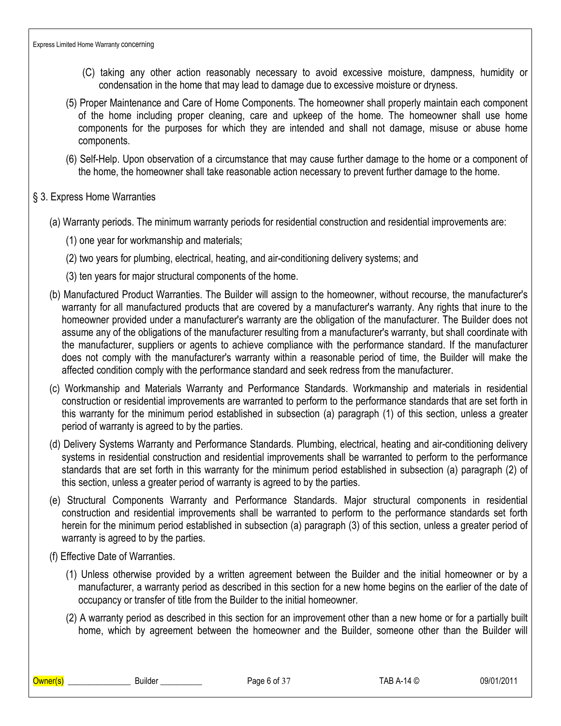- (C) taking any other action reasonably necessary to avoid excessive moisture, dampness, humidity or condensation in the home that may lead to damage due to excessive moisture or dryness.
- (5) Proper Maintenance and Care of Home Components. The homeowner shall properly maintain each component of the home including proper cleaning, care and upkeep of the home. The homeowner shall use home components for the purposes for which they are intended and shall not damage, misuse or abuse home components.
- (6) Self-Help. Upon observation of a circumstance that may cause further damage to the home or a component of the home, the homeowner shall take reasonable action necessary to prevent further damage to the home.
- § 3. Express Home Warranties
	- (a) Warranty periods. The minimum warranty periods for residential construction and residential improvements are:
		- (1) one year for workmanship and materials;
		- (2) two years for plumbing, electrical, heating, and air-conditioning delivery systems; and
		- (3) ten years for major structural components of the home.
	- (b) Manufactured Product Warranties. The Builder will assign to the homeowner, without recourse, the manufacturer's warranty for all manufactured products that are covered by a manufacturer's warranty. Any rights that inure to the homeowner provided under a manufacturer's warranty are the obligation of the manufacturer. The Builder does not assume any of the obligations of the manufacturer resulting from a manufacturer's warranty, but shall coordinate with the manufacturer, suppliers or agents to achieve compliance with the performance standard. If the manufacturer does not comply with the manufacturer's warranty within a reasonable period of time, the Builder will make the affected condition comply with the performance standard and seek redress from the manufacturer.
	- (c) Workmanship and Materials Warranty and Performance Standards. Workmanship and materials in residential construction or residential improvements are warranted to perform to the performance standards that are set forth in this warranty for the minimum period established in subsection (a) paragraph (1) of this section, unless a greater period of warranty is agreed to by the parties.
	- (d) Delivery Systems Warranty and Performance Standards. Plumbing, electrical, heating and air-conditioning delivery systems in residential construction and residential improvements shall be warranted to perform to the performance standards that are set forth in this warranty for the minimum period established in subsection (a) paragraph (2) of this section, unless a greater period of warranty is agreed to by the parties.
	- (e) Structural Components Warranty and Performance Standards. Major structural components in residential construction and residential improvements shall be warranted to perform to the performance standards set forth herein for the minimum period established in subsection (a) paragraph (3) of this section, unless a greater period of warranty is agreed to by the parties.
	- (f) Effective Date of Warranties.
		- (1) Unless otherwise provided by a written agreement between the Builder and the initial homeowner or by a manufacturer, a warranty period as described in this section for a new home begins on the earlier of the date of occupancy or transfer of title from the Builder to the initial homeowner.
		- (2) A warranty period as described in this section for an improvement other than a new home or for a partially built home, which by agreement between the homeowner and the Builder, someone other than the Builder will

\_\_\_\_\_\_\_\_\_\_\_\_\_\_\_\_\_\_\_\_\_\_\_\_\_\_\_\_\_\_\_\_Builder \_\_\_\_\_\_\_\_\_\_\_\_\_\_ Page 6 of 37 TAB A-14 © 09/01/2011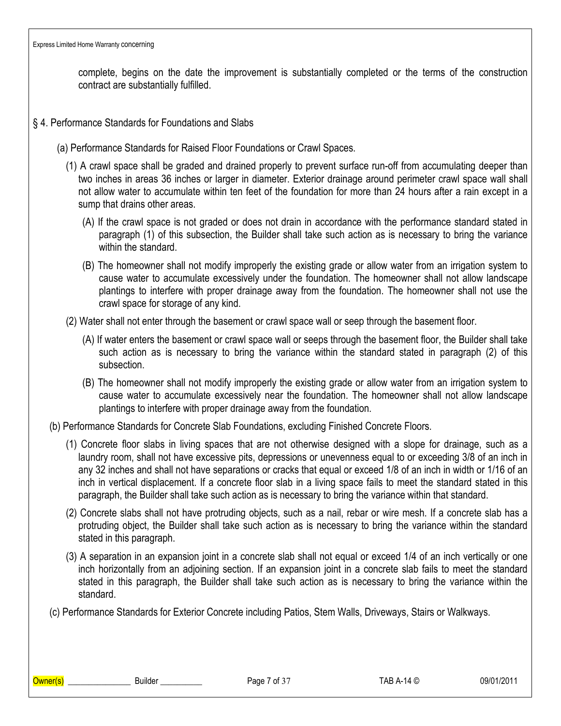complete, begins on the date the improvement is substantially completed or the terms of the construction contract are substantially fulfilled.

- § 4. Performance Standards for Foundations and Slabs
	- (a) Performance Standards for Raised Floor Foundations or Crawl Spaces.
		- (1) A crawl space shall be graded and drained properly to prevent surface run-off from accumulating deeper than two inches in areas 36 inches or larger in diameter. Exterior drainage around perimeter crawl space wall shall not allow water to accumulate within ten feet of the foundation for more than 24 hours after a rain except in a sump that drains other areas.
			- (A) If the crawl space is not graded or does not drain in accordance with the performance standard stated in paragraph (1) of this subsection, the Builder shall take such action as is necessary to bring the variance within the standard
			- (B) The homeowner shall not modify improperly the existing grade or allow water from an irrigation system to cause water to accumulate excessively under the foundation. The homeowner shall not allow landscape plantings to interfere with proper drainage away from the foundation. The homeowner shall not use the crawl space for storage of any kind.
		- (2) Water shall not enter through the basement or crawl space wall or seep through the basement floor.
			- (A) If water enters the basement or crawl space wall or seeps through the basement floor, the Builder shall take such action as is necessary to bring the variance within the standard stated in paragraph (2) of this subsection.
			- (B) The homeowner shall not modify improperly the existing grade or allow water from an irrigation system to cause water to accumulate excessively near the foundation. The homeowner shall not allow landscape plantings to interfere with proper drainage away from the foundation.
	- (b) Performance Standards for Concrete Slab Foundations, excluding Finished Concrete Floors.
		- (1) Concrete floor slabs in living spaces that are not otherwise designed with a slope for drainage, such as a laundry room, shall not have excessive pits, depressions or unevenness equal to or exceeding 3/8 of an inch in any 32 inches and shall not have separations or cracks that equal or exceed 1/8 of an inch in width or 1/16 of an inch in vertical displacement. If a concrete floor slab in a living space fails to meet the standard stated in this paragraph, the Builder shall take such action as is necessary to bring the variance within that standard.
		- (2) Concrete slabs shall not have protruding objects, such as a nail, rebar or wire mesh. If a concrete slab has a protruding object, the Builder shall take such action as is necessary to bring the variance within the standard stated in this paragraph.
		- (3) A separation in an expansion joint in a concrete slab shall not equal or exceed 1/4 of an inch vertically or one inch horizontally from an adjoining section. If an expansion joint in a concrete slab fails to meet the standard stated in this paragraph, the Builder shall take such action as is necessary to bring the variance within the standard.
	- (c) Performance Standards for Exterior Concrete including Patios, Stem Walls, Driveways, Stairs or Walkways.

\_\_\_\_\_\_\_\_\_\_\_\_\_\_\_\_\_\_\_\_\_\_\_\_\_\_\_\_\_\_\_\_Builder \_\_\_\_\_\_\_\_\_\_\_\_\_\_ Page 7 of 37 TAB A-14 © 09/01/2011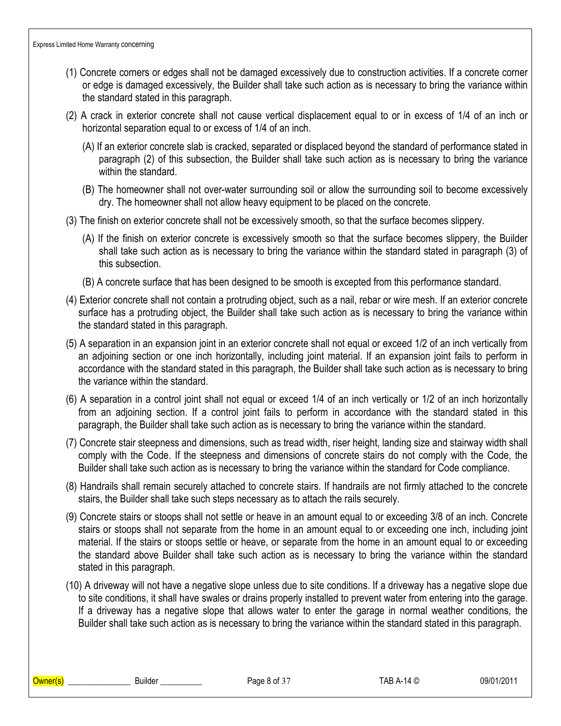- (1) Concrete corners or edges shall not be damaged excessively due to construction activities. If a concrete corner or edge is damaged excessively, the Builder shall take such action as is necessary to bring the variance within the standard stated in this paragraph.
- (2) A crack in exterior concrete shall not cause vertical displacement equal to or in excess of 1/4 of an inch or horizontal separation equal to or excess of 1/4 of an inch.
	- (A) If an exterior concrete slab is cracked, separated or displaced beyond the standard of performance stated in paragraph (2) of this subsection, the Builder shall take such action as is necessary to bring the variance within the standard.
	- (B) The homeowner shall not over-water surrounding soil or allow the surrounding soil to become excessively dry. The homeowner shall not allow heavy equipment to be placed on the concrete.
- (3) The finish on exterior concrete shall not be excessively smooth, so that the surface becomes slippery.
	- (A) If the finish on exterior concrete is excessively smooth so that the surface becomes slippery, the Builder shall take such action as is necessary to bring the variance within the standard stated in paragraph (3) of this subsection.
	- (B) A concrete surface that has been designed to be smooth is excepted from this performance standard.
- (4) Exterior concrete shall not contain a protruding object, such as a nail, rebar or wire mesh. If an exterior concrete surface has a protruding object, the Builder shall take such action as is necessary to bring the variance within the standard stated in this paragraph.
- (5) A separation in an expansion joint in an exterior concrete shall not equal or exceed 1/2 of an inch vertically from an adjoining section or one inch horizontally, including joint material. If an expansion joint fails to perform in accordance with the standard stated in this paragraph, the Builder shall take such action as is necessary to bring the variance within the standard.
- (6) A separation in a control joint shall not equal or exceed 1/4 of an inch vertically or 1/2 of an inch horizontally from an adjoining section. If a control joint fails to perform in accordance with the standard stated in this paragraph, the Builder shall take such action as is necessary to bring the variance within the standard.
- (7) Concrete stair steepness and dimensions, such as tread width, riser height, landing size and stairway width shall comply with the Code. If the steepness and dimensions of concrete stairs do not comply with the Code, the Builder shall take such action as is necessary to bring the variance within the standard for Code compliance.
- (8) Handrails shall remain securely attached to concrete stairs. If handrails are not firmly attached to the concrete stairs, the Builder shall take such steps necessary as to attach the rails securely.
- (9) Concrete stairs or stoops shall not settle or heave in an amount equal to or exceeding 3/8 of an inch. Concrete stairs or stoops shall not separate from the home in an amount equal to or exceeding one inch, including joint material. If the stairs or stoops settle or heave, or separate from the home in an amount equal to or exceeding the standard above Builder shall take such action as is necessary to bring the variance within the standard stated in this paragraph.
- (10) A driveway will not have a negative slope unless due to site conditions. If a driveway has a negative slope due to site conditions, it shall have swales or drains properly installed to prevent water from entering into the garage. If a driveway has a negative slope that allows water to enter the garage in normal weather conditions, the Builder shall take such action as is necessary to bring the variance within the standard stated in this paragraph.

\_\_\_\_\_\_\_\_\_\_\_\_\_\_\_\_\_\_\_\_\_\_\_\_\_\_\_\_\_\_\_\_Builder \_\_\_\_\_\_\_\_\_\_\_\_\_\_ Page 8 of 37 TAB A-14 © 09/01/2011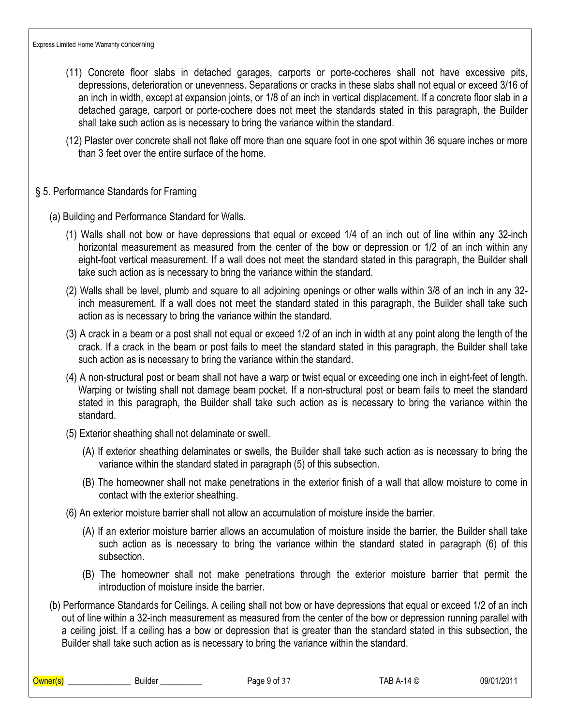- (11) Concrete floor slabs in detached garages, carports or porte-cocheres shall not have excessive pits, depressions, deterioration or unevenness. Separations or cracks in these slabs shall not equal or exceed 3/16 of an inch in width, except at expansion joints, or 1/8 of an inch in vertical displacement. If a concrete floor slab in a detached garage, carport or porte-cochere does not meet the standards stated in this paragraph, the Builder shall take such action as is necessary to bring the variance within the standard.
- (12) Plaster over concrete shall not flake off more than one square foot in one spot within 36 square inches or more than 3 feet over the entire surface of the home.

#### § 5. Performance Standards for Framing

- (a) Building and Performance Standard for Walls.
	- (1) Walls shall not bow or have depressions that equal or exceed 1/4 of an inch out of line within any 32-inch horizontal measurement as measured from the center of the bow or depression or 1/2 of an inch within any eight-foot vertical measurement. If a wall does not meet the standard stated in this paragraph, the Builder shall take such action as is necessary to bring the variance within the standard.
	- (2) Walls shall be level, plumb and square to all adjoining openings or other walls within 3/8 of an inch in any 32 inch measurement. If a wall does not meet the standard stated in this paragraph, the Builder shall take such action as is necessary to bring the variance within the standard.
	- (3) A crack in a beam or a post shall not equal or exceed 1/2 of an inch in width at any point along the length of the crack. If a crack in the beam or post fails to meet the standard stated in this paragraph, the Builder shall take such action as is necessary to bring the variance within the standard.
	- (4) A non-structural post or beam shall not have a warp or twist equal or exceeding one inch in eight-feet of length. Warping or twisting shall not damage beam pocket. If a non-structural post or beam fails to meet the standard stated in this paragraph, the Builder shall take such action as is necessary to bring the variance within the standard.
	- (5) Exterior sheathing shall not delaminate or swell.
		- (A) If exterior sheathing delaminates or swells, the Builder shall take such action as is necessary to bring the variance within the standard stated in paragraph (5) of this subsection.
		- (B) The homeowner shall not make penetrations in the exterior finish of a wall that allow moisture to come in contact with the exterior sheathing.
	- (6) An exterior moisture barrier shall not allow an accumulation of moisture inside the barrier.
		- (A) If an exterior moisture barrier allows an accumulation of moisture inside the barrier, the Builder shall take such action as is necessary to bring the variance within the standard stated in paragraph (6) of this subsection.
		- (B) The homeowner shall not make penetrations through the exterior moisture barrier that permit the introduction of moisture inside the barrier.
- (b) Performance Standards for Ceilings. A ceiling shall not bow or have depressions that equal or exceed 1/2 of an inch out of line within a 32-inch measurement as measured from the center of the bow or depression running parallel with a ceiling joist. If a ceiling has a bow or depression that is greater than the standard stated in this subsection, the Builder shall take such action as is necessary to bring the variance within the standard.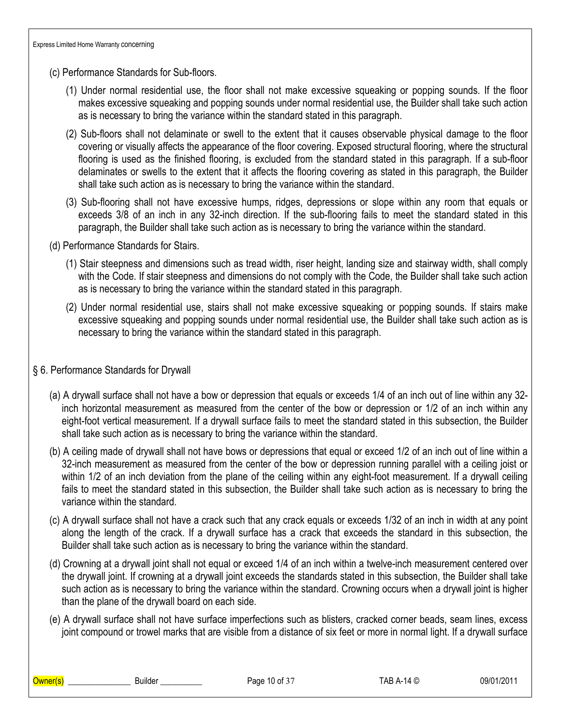(c) Performance Standards for Sub-floors.

- (1) Under normal residential use, the floor shall not make excessive squeaking or popping sounds. If the floor makes excessive squeaking and popping sounds under normal residential use, the Builder shall take such action as is necessary to bring the variance within the standard stated in this paragraph.
- (2) Sub-floors shall not delaminate or swell to the extent that it causes observable physical damage to the floor covering or visually affects the appearance of the floor covering. Exposed structural flooring, where the structural flooring is used as the finished flooring, is excluded from the standard stated in this paragraph. If a sub-floor delaminates or swells to the extent that it affects the flooring covering as stated in this paragraph, the Builder shall take such action as is necessary to bring the variance within the standard.
- (3) Sub-flooring shall not have excessive humps, ridges, depressions or slope within any room that equals or exceeds 3/8 of an inch in any 32-inch direction. If the sub-flooring fails to meet the standard stated in this paragraph, the Builder shall take such action as is necessary to bring the variance within the standard.
- (d) Performance Standards for Stairs.
	- (1) Stair steepness and dimensions such as tread width, riser height, landing size and stairway width, shall comply with the Code. If stair steepness and dimensions do not comply with the Code, the Builder shall take such action as is necessary to bring the variance within the standard stated in this paragraph.
	- (2) Under normal residential use, stairs shall not make excessive squeaking or popping sounds. If stairs make excessive squeaking and popping sounds under normal residential use, the Builder shall take such action as is necessary to bring the variance within the standard stated in this paragraph.

## § 6. Performance Standards for Drywall

- (a) A drywall surface shall not have a bow or depression that equals or exceeds 1/4 of an inch out of line within any 32 inch horizontal measurement as measured from the center of the bow or depression or 1/2 of an inch within any eight-foot vertical measurement. If a drywall surface fails to meet the standard stated in this subsection, the Builder shall take such action as is necessary to bring the variance within the standard.
- (b) A ceiling made of drywall shall not have bows or depressions that equal or exceed 1/2 of an inch out of line within a 32-inch measurement as measured from the center of the bow or depression running parallel with a ceiling joist or within 1/2 of an inch deviation from the plane of the ceiling within any eight-foot measurement. If a drywall ceiling fails to meet the standard stated in this subsection, the Builder shall take such action as is necessary to bring the variance within the standard.
- (c) A drywall surface shall not have a crack such that any crack equals or exceeds 1/32 of an inch in width at any point along the length of the crack. If a drywall surface has a crack that exceeds the standard in this subsection, the Builder shall take such action as is necessary to bring the variance within the standard.
- (d) Crowning at a drywall joint shall not equal or exceed 1/4 of an inch within a twelve-inch measurement centered over the drywall joint. If crowning at a drywall joint exceeds the standards stated in this subsection, the Builder shall take such action as is necessary to bring the variance within the standard. Crowning occurs when a drywall joint is higher than the plane of the drywall board on each side.
- (e) A drywall surface shall not have surface imperfections such as blisters, cracked corner beads, seam lines, excess joint compound or trowel marks that are visible from a distance of six feet or more in normal light. If a drywall surface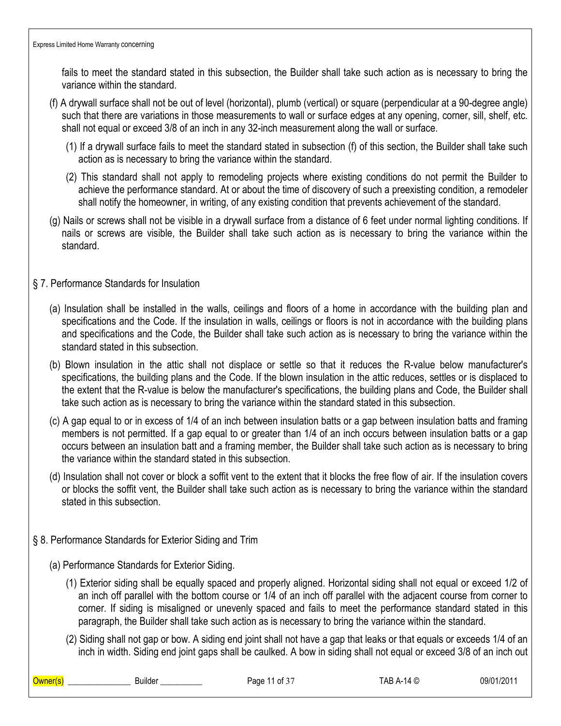fails to meet the standard stated in this subsection, the Builder shall take such action as is necessary to bring the variance within the standard.

- (f) A drywall surface shall not be out of level (horizontal), plumb (vertical) or square (perpendicular at a 90-degree angle) such that there are variations in those measurements to wall or surface edges at any opening, corner, sill, shelf, etc. shall not equal or exceed 3/8 of an inch in any 32-inch measurement along the wall or surface.
	- (1) If a drywall surface fails to meet the standard stated in subsection (f) of this section, the Builder shall take such action as is necessary to bring the variance within the standard.
	- (2) This standard shall not apply to remodeling projects where existing conditions do not permit the Builder to achieve the performance standard. At or about the time of discovery of such a preexisting condition, a remodeler shall notify the homeowner, in writing, of any existing condition that prevents achievement of the standard.
- (g) Nails or screws shall not be visible in a drywall surface from a distance of 6 feet under normal lighting conditions. If nails or screws are visible, the Builder shall take such action as is necessary to bring the variance within the standard.
- § 7. Performance Standards for Insulation
	- (a) Insulation shall be installed in the walls, ceilings and floors of a home in accordance with the building plan and specifications and the Code. If the insulation in walls, ceilings or floors is not in accordance with the building plans and specifications and the Code, the Builder shall take such action as is necessary to bring the variance within the standard stated in this subsection.
	- (b) Blown insulation in the attic shall not displace or settle so that it reduces the R-value below manufacturer's specifications, the building plans and the Code. If the blown insulation in the attic reduces, settles or is displaced to the extent that the R-value is below the manufacturer's specifications, the building plans and Code, the Builder shall take such action as is necessary to bring the variance within the standard stated in this subsection.
	- (c) A gap equal to or in excess of 1/4 of an inch between insulation batts or a gap between insulation batts and framing members is not permitted. If a gap equal to or greater than 1/4 of an inch occurs between insulation batts or a gap occurs between an insulation batt and a framing member, the Builder shall take such action as is necessary to bring the variance within the standard stated in this subsection.
	- (d) Insulation shall not cover or block a soffit vent to the extent that it blocks the free flow of air. If the insulation covers or blocks the soffit vent, the Builder shall take such action as is necessary to bring the variance within the standard stated in this subsection.
- § 8. Performance Standards for Exterior Siding and Trim
	- (a) Performance Standards for Exterior Siding.
		- (1) Exterior siding shall be equally spaced and properly aligned. Horizontal siding shall not equal or exceed 1/2 of an inch off parallel with the bottom course or 1/4 of an inch off parallel with the adjacent course from corner to corner. If siding is misaligned or unevenly spaced and fails to meet the performance standard stated in this paragraph, the Builder shall take such action as is necessary to bring the variance within the standard.
		- (2) Siding shall not gap or bow. A siding end joint shall not have a gap that leaks or that equals or exceeds 1/4 of an inch in width. Siding end joint gaps shall be caulked. A bow in siding shall not equal or exceed 3/8 of an inch out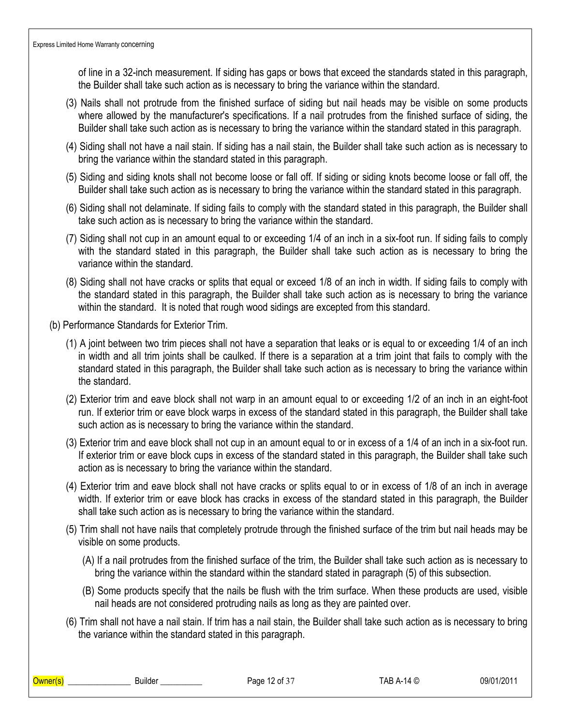of line in a 32-inch measurement. If siding has gaps or bows that exceed the standards stated in this paragraph, the Builder shall take such action as is necessary to bring the variance within the standard.

- (3) Nails shall not protrude from the finished surface of siding but nail heads may be visible on some products where allowed by the manufacturer's specifications. If a nail protrudes from the finished surface of siding, the Builder shall take such action as is necessary to bring the variance within the standard stated in this paragraph.
- (4) Siding shall not have a nail stain. If siding has a nail stain, the Builder shall take such action as is necessary to bring the variance within the standard stated in this paragraph.
- (5) Siding and siding knots shall not become loose or fall off. If siding or siding knots become loose or fall off, the Builder shall take such action as is necessary to bring the variance within the standard stated in this paragraph.
- (6) Siding shall not delaminate. If siding fails to comply with the standard stated in this paragraph, the Builder shall take such action as is necessary to bring the variance within the standard.
- (7) Siding shall not cup in an amount equal to or exceeding 1/4 of an inch in a six-foot run. If siding fails to comply with the standard stated in this paragraph, the Builder shall take such action as is necessary to bring the variance within the standard.
- (8) Siding shall not have cracks or splits that equal or exceed 1/8 of an inch in width. If siding fails to comply with the standard stated in this paragraph, the Builder shall take such action as is necessary to bring the variance within the standard. It is noted that rough wood sidings are excepted from this standard.
- (b) Performance Standards for Exterior Trim.
	- (1) A joint between two trim pieces shall not have a separation that leaks or is equal to or exceeding 1/4 of an inch in width and all trim joints shall be caulked. If there is a separation at a trim joint that fails to comply with the standard stated in this paragraph, the Builder shall take such action as is necessary to bring the variance within the standard.
	- (2) Exterior trim and eave block shall not warp in an amount equal to or exceeding 1/2 of an inch in an eight-foot run. If exterior trim or eave block warps in excess of the standard stated in this paragraph, the Builder shall take such action as is necessary to bring the variance within the standard.
	- (3) Exterior trim and eave block shall not cup in an amount equal to or in excess of a 1/4 of an inch in a six-foot run. If exterior trim or eave block cups in excess of the standard stated in this paragraph, the Builder shall take such action as is necessary to bring the variance within the standard.
	- (4) Exterior trim and eave block shall not have cracks or splits equal to or in excess of 1/8 of an inch in average width. If exterior trim or eave block has cracks in excess of the standard stated in this paragraph, the Builder shall take such action as is necessary to bring the variance within the standard.
	- (5) Trim shall not have nails that completely protrude through the finished surface of the trim but nail heads may be visible on some products.
		- (A) If a nail protrudes from the finished surface of the trim, the Builder shall take such action as is necessary to bring the variance within the standard within the standard stated in paragraph (5) of this subsection.
		- (B) Some products specify that the nails be flush with the trim surface. When these products are used, visible nail heads are not considered protruding nails as long as they are painted over.
	- (6) Trim shall not have a nail stain. If trim has a nail stain, the Builder shall take such action as is necessary to bring the variance within the standard stated in this paragraph.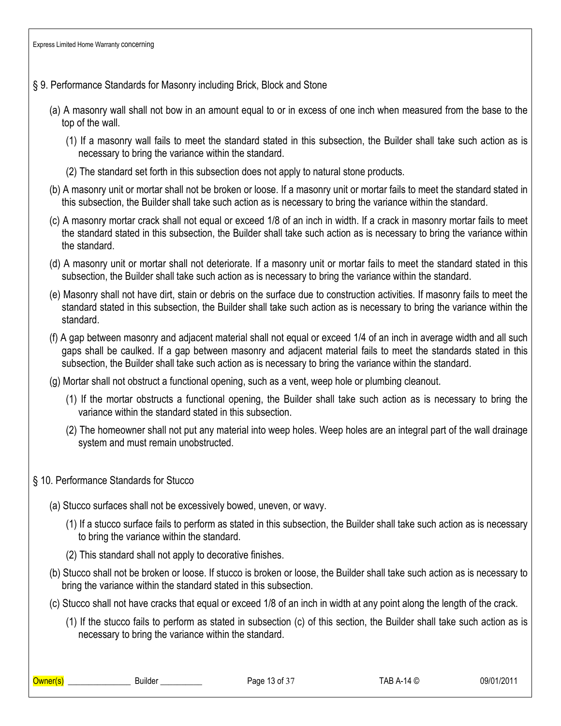# § 9. Performance Standards for Masonry including Brick, Block and Stone

- (a) A masonry wall shall not bow in an amount equal to or in excess of one inch when measured from the base to the top of the wall.
	- (1) If a masonry wall fails to meet the standard stated in this subsection, the Builder shall take such action as is necessary to bring the variance within the standard.
	- (2) The standard set forth in this subsection does not apply to natural stone products.
- (b) A masonry unit or mortar shall not be broken or loose. If a masonry unit or mortar fails to meet the standard stated in this subsection, the Builder shall take such action as is necessary to bring the variance within the standard.
- (c) A masonry mortar crack shall not equal or exceed 1/8 of an inch in width. If a crack in masonry mortar fails to meet the standard stated in this subsection, the Builder shall take such action as is necessary to bring the variance within the standard.
- (d) A masonry unit or mortar shall not deteriorate. If a masonry unit or mortar fails to meet the standard stated in this subsection, the Builder shall take such action as is necessary to bring the variance within the standard.
- (e) Masonry shall not have dirt, stain or debris on the surface due to construction activities. If masonry fails to meet the standard stated in this subsection, the Builder shall take such action as is necessary to bring the variance within the standard.
- (f) A gap between masonry and adjacent material shall not equal or exceed 1/4 of an inch in average width and all such gaps shall be caulked. If a gap between masonry and adjacent material fails to meet the standards stated in this subsection, the Builder shall take such action as is necessary to bring the variance within the standard.
- (g) Mortar shall not obstruct a functional opening, such as a vent, weep hole or plumbing cleanout.
	- (1) If the mortar obstructs a functional opening, the Builder shall take such action as is necessary to bring the variance within the standard stated in this subsection.
	- (2) The homeowner shall not put any material into weep holes. Weep holes are an integral part of the wall drainage system and must remain unobstructed.
- § 10. Performance Standards for Stucco
	- (a) Stucco surfaces shall not be excessively bowed, uneven, or wavy.
		- (1) If a stucco surface fails to perform as stated in this subsection, the Builder shall take such action as is necessary to bring the variance within the standard.
		- (2) This standard shall not apply to decorative finishes.
	- (b) Stucco shall not be broken or loose. If stucco is broken or loose, the Builder shall take such action as is necessary to bring the variance within the standard stated in this subsection.
	- (c) Stucco shall not have cracks that equal or exceed 1/8 of an inch in width at any point along the length of the crack.
		- (1) If the stucco fails to perform as stated in subsection (c) of this section, the Builder shall take such action as is necessary to bring the variance within the standard.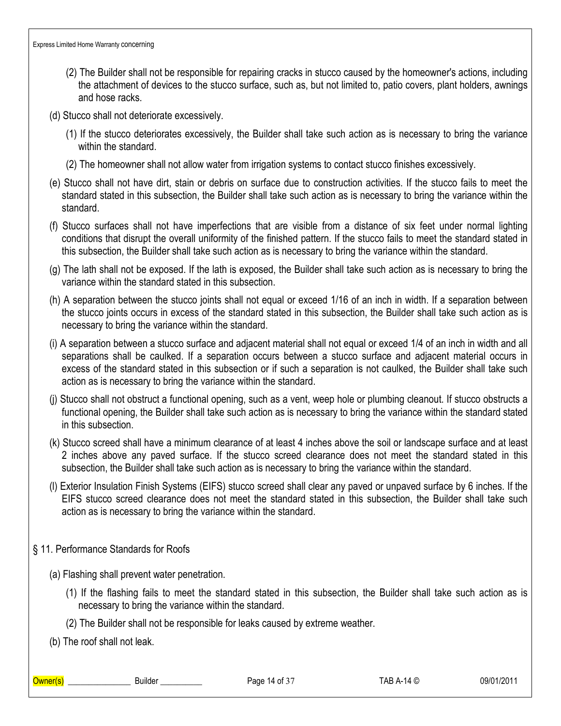- (2) The Builder shall not be responsible for repairing cracks in stucco caused by the homeowner's actions, including the attachment of devices to the stucco surface, such as, but not limited to, patio covers, plant holders, awnings and hose racks.
- (d) Stucco shall not deteriorate excessively.
	- (1) If the stucco deteriorates excessively, the Builder shall take such action as is necessary to bring the variance within the standard.
	- (2) The homeowner shall not allow water from irrigation systems to contact stucco finishes excessively.
- (e) Stucco shall not have dirt, stain or debris on surface due to construction activities. If the stucco fails to meet the standard stated in this subsection, the Builder shall take such action as is necessary to bring the variance within the standard.
- (f) Stucco surfaces shall not have imperfections that are visible from a distance of six feet under normal lighting conditions that disrupt the overall uniformity of the finished pattern. If the stucco fails to meet the standard stated in this subsection, the Builder shall take such action as is necessary to bring the variance within the standard.
- (g) The lath shall not be exposed. If the lath is exposed, the Builder shall take such action as is necessary to bring the variance within the standard stated in this subsection.
- (h) A separation between the stucco joints shall not equal or exceed 1/16 of an inch in width. If a separation between the stucco joints occurs in excess of the standard stated in this subsection, the Builder shall take such action as is necessary to bring the variance within the standard.
- (i) A separation between a stucco surface and adjacent material shall not equal or exceed 1/4 of an inch in width and all separations shall be caulked. If a separation occurs between a stucco surface and adjacent material occurs in excess of the standard stated in this subsection or if such a separation is not caulked, the Builder shall take such action as is necessary to bring the variance within the standard.
- (j) Stucco shall not obstruct a functional opening, such as a vent, weep hole or plumbing cleanout. If stucco obstructs a functional opening, the Builder shall take such action as is necessary to bring the variance within the standard stated in this subsection.
- (k) Stucco screed shall have a minimum clearance of at least 4 inches above the soil or landscape surface and at least 2 inches above any paved surface. If the stucco screed clearance does not meet the standard stated in this subsection, the Builder shall take such action as is necessary to bring the variance within the standard.
- (l) Exterior Insulation Finish Systems (EIFS) stucco screed shall clear any paved or unpaved surface by 6 inches. If the EIFS stucco screed clearance does not meet the standard stated in this subsection, the Builder shall take such action as is necessary to bring the variance within the standard.
- § 11. Performance Standards for Roofs
	- (a) Flashing shall prevent water penetration.
		- (1) If the flashing fails to meet the standard stated in this subsection, the Builder shall take such action as is necessary to bring the variance within the standard.
		- (2) The Builder shall not be responsible for leaks caused by extreme weather.
	- (b) The roof shall not leak.

\_\_\_\_\_\_\_\_\_\_\_\_\_\_\_\_\_\_\_\_\_\_\_\_\_\_\_\_\_\_\_\_Builder \_\_\_\_\_\_\_\_\_\_\_\_\_\_\_ Page 14 of 37 TAB A-14 © 09/01/2011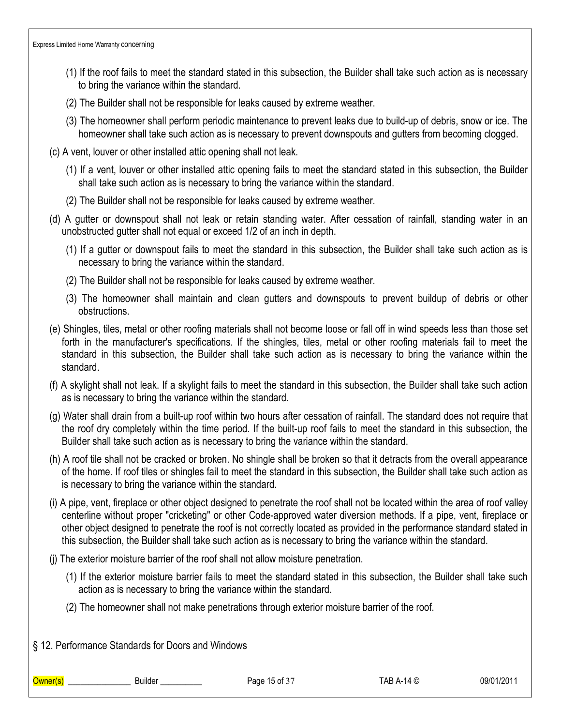- (1) If the roof fails to meet the standard stated in this subsection, the Builder shall take such action as is necessary to bring the variance within the standard.
- (2) The Builder shall not be responsible for leaks caused by extreme weather.
- (3) The homeowner shall perform periodic maintenance to prevent leaks due to build-up of debris, snow or ice. The homeowner shall take such action as is necessary to prevent downspouts and gutters from becoming clogged.
- (c) A vent, louver or other installed attic opening shall not leak.
	- (1) If a vent, louver or other installed attic opening fails to meet the standard stated in this subsection, the Builder shall take such action as is necessary to bring the variance within the standard.
	- (2) The Builder shall not be responsible for leaks caused by extreme weather.
- (d) A gutter or downspout shall not leak or retain standing water. After cessation of rainfall, standing water in an unobstructed gutter shall not equal or exceed 1/2 of an inch in depth.
	- (1) If a gutter or downspout fails to meet the standard in this subsection, the Builder shall take such action as is necessary to bring the variance within the standard.
	- (2) The Builder shall not be responsible for leaks caused by extreme weather.
	- (3) The homeowner shall maintain and clean gutters and downspouts to prevent buildup of debris or other obstructions.
- (e) Shingles, tiles, metal or other roofing materials shall not become loose or fall off in wind speeds less than those set forth in the manufacturer's specifications. If the shingles, tiles, metal or other roofing materials fail to meet the standard in this subsection, the Builder shall take such action as is necessary to bring the variance within the standard.
- (f) A skylight shall not leak. If a skylight fails to meet the standard in this subsection, the Builder shall take such action as is necessary to bring the variance within the standard.
- (g) Water shall drain from a built-up roof within two hours after cessation of rainfall. The standard does not require that the roof dry completely within the time period. If the built-up roof fails to meet the standard in this subsection, the Builder shall take such action as is necessary to bring the variance within the standard.
- (h) A roof tile shall not be cracked or broken. No shingle shall be broken so that it detracts from the overall appearance of the home. If roof tiles or shingles fail to meet the standard in this subsection, the Builder shall take such action as is necessary to bring the variance within the standard.
- (i) A pipe, vent, fireplace or other object designed to penetrate the roof shall not be located within the area of roof valley centerline without proper "cricketing" or other Code-approved water diversion methods. If a pipe, vent, fireplace or other object designed to penetrate the roof is not correctly located as provided in the performance standard stated in this subsection, the Builder shall take such action as is necessary to bring the variance within the standard.
- (j) The exterior moisture barrier of the roof shall not allow moisture penetration.
	- (1) If the exterior moisture barrier fails to meet the standard stated in this subsection, the Builder shall take such action as is necessary to bring the variance within the standard.
	- (2) The homeowner shall not make penetrations through exterior moisture barrier of the roof.

§ 12. Performance Standards for Doors and Windows

Owner(s) \_\_\_\_\_\_\_\_\_\_\_\_\_\_\_ Builder \_\_\_\_\_\_\_\_\_\_ Page 15 of 37 TAB A-14 © 09/01/2011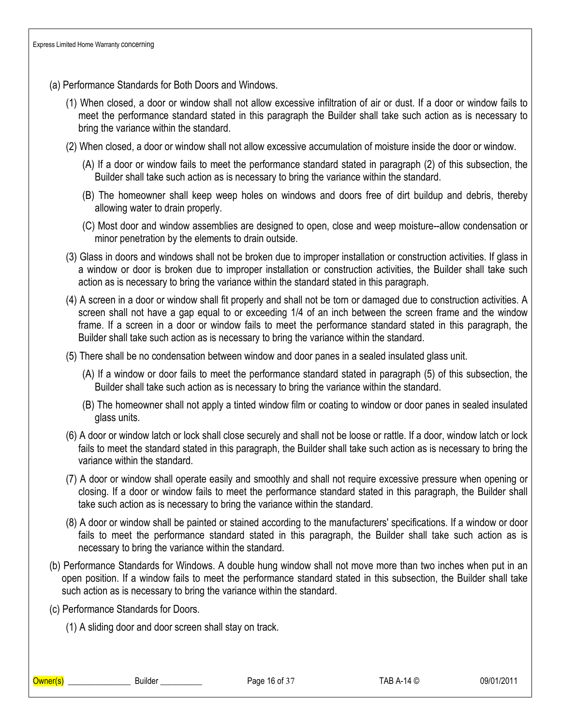- (a) Performance Standards for Both Doors and Windows.
	- (1) When closed, a door or window shall not allow excessive infiltration of air or dust. If a door or window fails to meet the performance standard stated in this paragraph the Builder shall take such action as is necessary to bring the variance within the standard.
	- (2) When closed, a door or window shall not allow excessive accumulation of moisture inside the door or window.
		- (A) If a door or window fails to meet the performance standard stated in paragraph (2) of this subsection, the Builder shall take such action as is necessary to bring the variance within the standard.
		- (B) The homeowner shall keep weep holes on windows and doors free of dirt buildup and debris, thereby allowing water to drain properly.
		- (C) Most door and window assemblies are designed to open, close and weep moisture--allow condensation or minor penetration by the elements to drain outside.
	- (3) Glass in doors and windows shall not be broken due to improper installation or construction activities. If glass in a window or door is broken due to improper installation or construction activities, the Builder shall take such action as is necessary to bring the variance within the standard stated in this paragraph.
	- (4) A screen in a door or window shall fit properly and shall not be torn or damaged due to construction activities. A screen shall not have a gap equal to or exceeding 1/4 of an inch between the screen frame and the window frame. If a screen in a door or window fails to meet the performance standard stated in this paragraph, the Builder shall take such action as is necessary to bring the variance within the standard.
	- (5) There shall be no condensation between window and door panes in a sealed insulated glass unit.
		- (A) If a window or door fails to meet the performance standard stated in paragraph (5) of this subsection, the Builder shall take such action as is necessary to bring the variance within the standard.
		- (B) The homeowner shall not apply a tinted window film or coating to window or door panes in sealed insulated glass units.
	- (6) A door or window latch or lock shall close securely and shall not be loose or rattle. If a door, window latch or lock fails to meet the standard stated in this paragraph, the Builder shall take such action as is necessary to bring the variance within the standard.
	- (7) A door or window shall operate easily and smoothly and shall not require excessive pressure when opening or closing. If a door or window fails to meet the performance standard stated in this paragraph, the Builder shall take such action as is necessary to bring the variance within the standard.
	- (8) A door or window shall be painted or stained according to the manufacturers' specifications. If a window or door fails to meet the performance standard stated in this paragraph, the Builder shall take such action as is necessary to bring the variance within the standard.
- (b) Performance Standards for Windows. A double hung window shall not move more than two inches when put in an open position. If a window fails to meet the performance standard stated in this subsection, the Builder shall take such action as is necessary to bring the variance within the standard.
- (c) Performance Standards for Doors.

(1) A sliding door and door screen shall stay on track.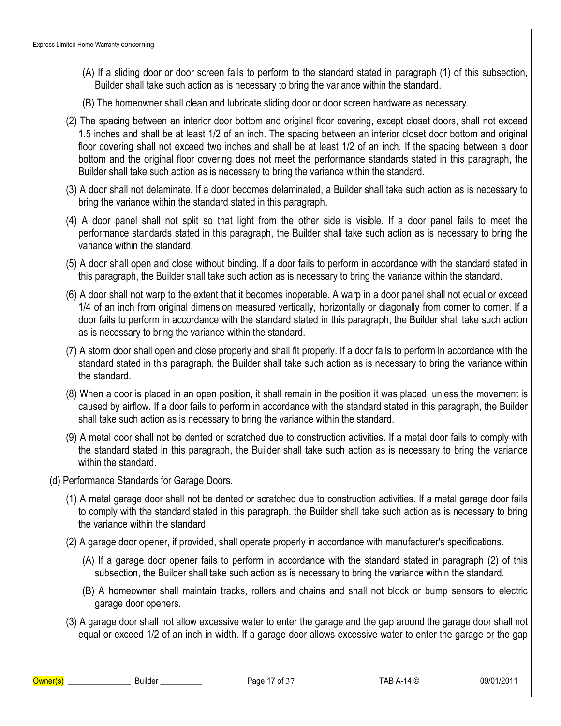- (A) If a sliding door or door screen fails to perform to the standard stated in paragraph (1) of this subsection, Builder shall take such action as is necessary to bring the variance within the standard.
- (B) The homeowner shall clean and lubricate sliding door or door screen hardware as necessary.
- (2) The spacing between an interior door bottom and original floor covering, except closet doors, shall not exceed 1.5 inches and shall be at least 1/2 of an inch. The spacing between an interior closet door bottom and original floor covering shall not exceed two inches and shall be at least 1/2 of an inch. If the spacing between a door bottom and the original floor covering does not meet the performance standards stated in this paragraph, the Builder shall take such action as is necessary to bring the variance within the standard.
- (3) A door shall not delaminate. If a door becomes delaminated, a Builder shall take such action as is necessary to bring the variance within the standard stated in this paragraph.
- (4) A door panel shall not split so that light from the other side is visible. If a door panel fails to meet the performance standards stated in this paragraph, the Builder shall take such action as is necessary to bring the variance within the standard.
- (5) A door shall open and close without binding. If a door fails to perform in accordance with the standard stated in this paragraph, the Builder shall take such action as is necessary to bring the variance within the standard.
- (6) A door shall not warp to the extent that it becomes inoperable. A warp in a door panel shall not equal or exceed 1/4 of an inch from original dimension measured vertically, horizontally or diagonally from corner to corner. If a door fails to perform in accordance with the standard stated in this paragraph, the Builder shall take such action as is necessary to bring the variance within the standard.
- (7) A storm door shall open and close properly and shall fit properly. If a door fails to perform in accordance with the standard stated in this paragraph, the Builder shall take such action as is necessary to bring the variance within the standard.
- (8) When a door is placed in an open position, it shall remain in the position it was placed, unless the movement is caused by airflow. If a door fails to perform in accordance with the standard stated in this paragraph, the Builder shall take such action as is necessary to bring the variance within the standard.
- (9) A metal door shall not be dented or scratched due to construction activities. If a metal door fails to comply with the standard stated in this paragraph, the Builder shall take such action as is necessary to bring the variance within the standard.
- (d) Performance Standards for Garage Doors.
	- (1) A metal garage door shall not be dented or scratched due to construction activities. If a metal garage door fails to comply with the standard stated in this paragraph, the Builder shall take such action as is necessary to bring the variance within the standard.
	- (2) A garage door opener, if provided, shall operate properly in accordance with manufacturer's specifications.
		- (A) If a garage door opener fails to perform in accordance with the standard stated in paragraph (2) of this subsection, the Builder shall take such action as is necessary to bring the variance within the standard.
		- (B) A homeowner shall maintain tracks, rollers and chains and shall not block or bump sensors to electric garage door openers.
	- (3) A garage door shall not allow excessive water to enter the garage and the gap around the garage door shall not equal or exceed 1/2 of an inch in width. If a garage door allows excessive water to enter the garage or the gap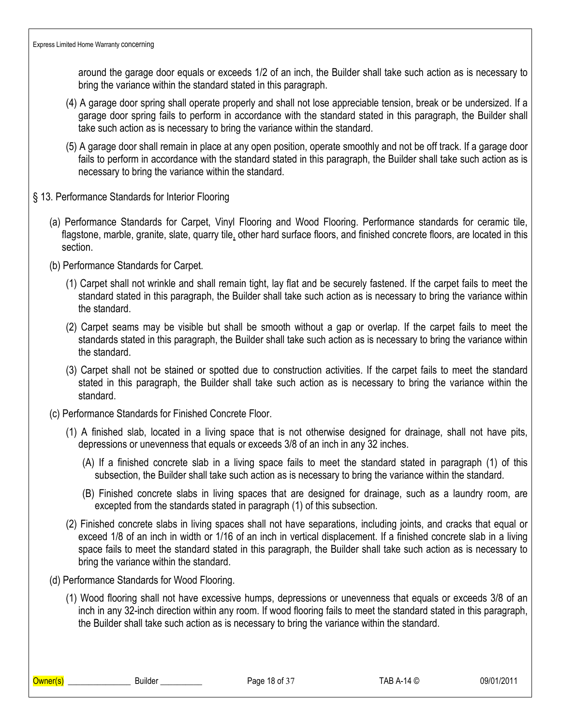around the garage door equals or exceeds 1/2 of an inch, the Builder shall take such action as is necessary to bring the variance within the standard stated in this paragraph.

- (4) A garage door spring shall operate properly and shall not lose appreciable tension, break or be undersized. If a garage door spring fails to perform in accordance with the standard stated in this paragraph, the Builder shall take such action as is necessary to bring the variance within the standard.
- (5) A garage door shall remain in place at any open position, operate smoothly and not be off track. If a garage door fails to perform in accordance with the standard stated in this paragraph, the Builder shall take such action as is necessary to bring the variance within the standard.
- § 13. Performance Standards for Interior Flooring
	- (a) Performance Standards for Carpet, Vinyl Flooring and Wood Flooring. Performance standards for ceramic tile, flagstone, marble, granite, slate, quarry tile, other hard surface floors, and finished concrete floors, are located in this section.
	- (b) Performance Standards for Carpet.
		- (1) Carpet shall not wrinkle and shall remain tight, lay flat and be securely fastened. If the carpet fails to meet the standard stated in this paragraph, the Builder shall take such action as is necessary to bring the variance within the standard.
		- (2) Carpet seams may be visible but shall be smooth without a gap or overlap. If the carpet fails to meet the standards stated in this paragraph, the Builder shall take such action as is necessary to bring the variance within the standard.
		- (3) Carpet shall not be stained or spotted due to construction activities. If the carpet fails to meet the standard stated in this paragraph, the Builder shall take such action as is necessary to bring the variance within the standard.
	- (c) Performance Standards for Finished Concrete Floor.
		- (1) A finished slab, located in a living space that is not otherwise designed for drainage, shall not have pits, depressions or unevenness that equals or exceeds 3/8 of an inch in any 32 inches.
			- (A) If a finished concrete slab in a living space fails to meet the standard stated in paragraph (1) of this subsection, the Builder shall take such action as is necessary to bring the variance within the standard.
			- (B) Finished concrete slabs in living spaces that are designed for drainage, such as a laundry room, are excepted from the standards stated in paragraph (1) of this subsection.
		- (2) Finished concrete slabs in living spaces shall not have separations, including joints, and cracks that equal or exceed 1/8 of an inch in width or 1/16 of an inch in vertical displacement. If a finished concrete slab in a living space fails to meet the standard stated in this paragraph, the Builder shall take such action as is necessary to bring the variance within the standard.
	- (d) Performance Standards for Wood Flooring.
		- (1) Wood flooring shall not have excessive humps, depressions or unevenness that equals or exceeds 3/8 of an inch in any 32-inch direction within any room. If wood flooring fails to meet the standard stated in this paragraph, the Builder shall take such action as is necessary to bring the variance within the standard.

\_\_\_\_\_\_\_\_\_\_\_\_\_\_\_\_\_\_\_\_\_\_\_\_\_\_\_\_\_\_\_\_Builder \_\_\_\_\_\_\_\_\_\_\_\_\_\_\_ Page 18 of 37 TAB A-14 © 09/01/2011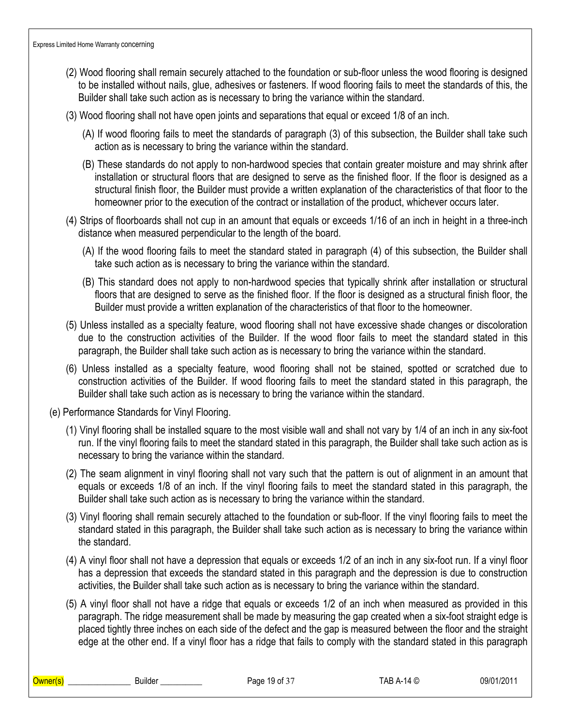- (2) Wood flooring shall remain securely attached to the foundation or sub-floor unless the wood flooring is designed to be installed without nails, glue, adhesives or fasteners. If wood flooring fails to meet the standards of this, the Builder shall take such action as is necessary to bring the variance within the standard.
- (3) Wood flooring shall not have open joints and separations that equal or exceed 1/8 of an inch.
	- (A) If wood flooring fails to meet the standards of paragraph (3) of this subsection, the Builder shall take such action as is necessary to bring the variance within the standard.
	- (B) These standards do not apply to non-hardwood species that contain greater moisture and may shrink after installation or structural floors that are designed to serve as the finished floor. If the floor is designed as a structural finish floor, the Builder must provide a written explanation of the characteristics of that floor to the homeowner prior to the execution of the contract or installation of the product, whichever occurs later.
- (4) Strips of floorboards shall not cup in an amount that equals or exceeds 1/16 of an inch in height in a three-inch distance when measured perpendicular to the length of the board.
	- (A) If the wood flooring fails to meet the standard stated in paragraph (4) of this subsection, the Builder shall take such action as is necessary to bring the variance within the standard.
	- (B) This standard does not apply to non-hardwood species that typically shrink after installation or structural floors that are designed to serve as the finished floor. If the floor is designed as a structural finish floor, the Builder must provide a written explanation of the characteristics of that floor to the homeowner.
- (5) Unless installed as a specialty feature, wood flooring shall not have excessive shade changes or discoloration due to the construction activities of the Builder. If the wood floor fails to meet the standard stated in this paragraph, the Builder shall take such action as is necessary to bring the variance within the standard.
- (6) Unless installed as a specialty feature, wood flooring shall not be stained, spotted or scratched due to construction activities of the Builder. If wood flooring fails to meet the standard stated in this paragraph, the Builder shall take such action as is necessary to bring the variance within the standard.
- (e) Performance Standards for Vinyl Flooring.
	- (1) Vinyl flooring shall be installed square to the most visible wall and shall not vary by 1/4 of an inch in any six-foot run. If the vinyl flooring fails to meet the standard stated in this paragraph, the Builder shall take such action as is necessary to bring the variance within the standard.
	- (2) The seam alignment in vinyl flooring shall not vary such that the pattern is out of alignment in an amount that equals or exceeds 1/8 of an inch. If the vinyl flooring fails to meet the standard stated in this paragraph, the Builder shall take such action as is necessary to bring the variance within the standard.
	- (3) Vinyl flooring shall remain securely attached to the foundation or sub-floor. If the vinyl flooring fails to meet the standard stated in this paragraph, the Builder shall take such action as is necessary to bring the variance within the standard.
	- (4) A vinyl floor shall not have a depression that equals or exceeds 1/2 of an inch in any six-foot run. If a vinyl floor has a depression that exceeds the standard stated in this paragraph and the depression is due to construction activities, the Builder shall take such action as is necessary to bring the variance within the standard.
	- (5) A vinyl floor shall not have a ridge that equals or exceeds 1/2 of an inch when measured as provided in this paragraph. The ridge measurement shall be made by measuring the gap created when a six-foot straight edge is placed tightly three inches on each side of the defect and the gap is measured between the floor and the straight edge at the other end. If a vinyl floor has a ridge that fails to comply with the standard stated in this paragraph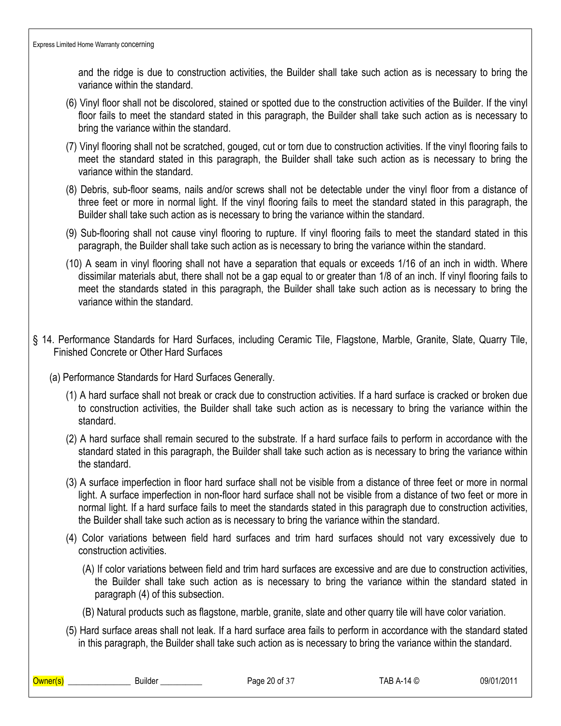and the ridge is due to construction activities, the Builder shall take such action as is necessary to bring the variance within the standard.

- (6) Vinyl floor shall not be discolored, stained or spotted due to the construction activities of the Builder. If the vinyl floor fails to meet the standard stated in this paragraph, the Builder shall take such action as is necessary to bring the variance within the standard.
- (7) Vinyl flooring shall not be scratched, gouged, cut or torn due to construction activities. If the vinyl flooring fails to meet the standard stated in this paragraph, the Builder shall take such action as is necessary to bring the variance within the standard.
- (8) Debris, sub-floor seams, nails and/or screws shall not be detectable under the vinyl floor from a distance of three feet or more in normal light. If the vinyl flooring fails to meet the standard stated in this paragraph, the Builder shall take such action as is necessary to bring the variance within the standard.
- (9) Sub-flooring shall not cause vinyl flooring to rupture. If vinyl flooring fails to meet the standard stated in this paragraph, the Builder shall take such action as is necessary to bring the variance within the standard.
- (10) A seam in vinyl flooring shall not have a separation that equals or exceeds 1/16 of an inch in width. Where dissimilar materials abut, there shall not be a gap equal to or greater than 1/8 of an inch. If vinyl flooring fails to meet the standards stated in this paragraph, the Builder shall take such action as is necessary to bring the variance within the standard.
- § 14. Performance Standards for Hard Surfaces, including Ceramic Tile, Flagstone, Marble, Granite, Slate, Quarry Tile, Finished Concrete or Other Hard Surfaces
	- (a) Performance Standards for Hard Surfaces Generally.
		- (1) A hard surface shall not break or crack due to construction activities. If a hard surface is cracked or broken due to construction activities, the Builder shall take such action as is necessary to bring the variance within the standard.
		- (2) A hard surface shall remain secured to the substrate. If a hard surface fails to perform in accordance with the standard stated in this paragraph, the Builder shall take such action as is necessary to bring the variance within the standard.
		- (3) A surface imperfection in floor hard surface shall not be visible from a distance of three feet or more in normal light. A surface imperfection in non-floor hard surface shall not be visible from a distance of two feet or more in normal light. If a hard surface fails to meet the standards stated in this paragraph due to construction activities, the Builder shall take such action as is necessary to bring the variance within the standard.
		- (4) Color variations between field hard surfaces and trim hard surfaces should not vary excessively due to construction activities.
			- (A) If color variations between field and trim hard surfaces are excessive and are due to construction activities, the Builder shall take such action as is necessary to bring the variance within the standard stated in paragraph (4) of this subsection.
			- (B) Natural products such as flagstone, marble, granite, slate and other quarry tile will have color variation.
		- (5) Hard surface areas shall not leak. If a hard surface area fails to perform in accordance with the standard stated in this paragraph, the Builder shall take such action as is necessary to bring the variance within the standard.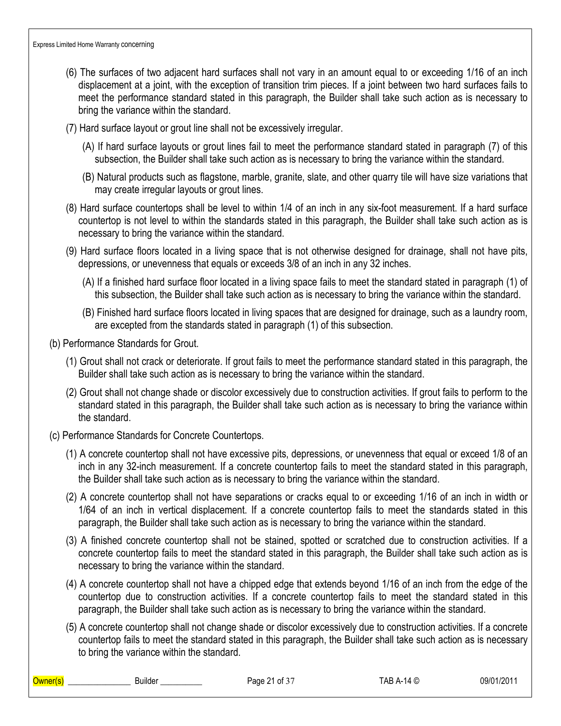- (6) The surfaces of two adjacent hard surfaces shall not vary in an amount equal to or exceeding 1/16 of an inch displacement at a joint, with the exception of transition trim pieces. If a joint between two hard surfaces fails to meet the performance standard stated in this paragraph, the Builder shall take such action as is necessary to bring the variance within the standard.
- (7) Hard surface layout or grout line shall not be excessively irregular.
	- (A) If hard surface layouts or grout lines fail to meet the performance standard stated in paragraph (7) of this subsection, the Builder shall take such action as is necessary to bring the variance within the standard.
	- (B) Natural products such as flagstone, marble, granite, slate, and other quarry tile will have size variations that may create irregular layouts or grout lines.
- (8) Hard surface countertops shall be level to within 1/4 of an inch in any six-foot measurement. If a hard surface countertop is not level to within the standards stated in this paragraph, the Builder shall take such action as is necessary to bring the variance within the standard.
- (9) Hard surface floors located in a living space that is not otherwise designed for drainage, shall not have pits, depressions, or unevenness that equals or exceeds 3/8 of an inch in any 32 inches.
	- (A) If a finished hard surface floor located in a living space fails to meet the standard stated in paragraph (1) of this subsection, the Builder shall take such action as is necessary to bring the variance within the standard.
	- (B) Finished hard surface floors located in living spaces that are designed for drainage, such as a laundry room, are excepted from the standards stated in paragraph (1) of this subsection.
- (b) Performance Standards for Grout.
	- (1) Grout shall not crack or deteriorate. If grout fails to meet the performance standard stated in this paragraph, the Builder shall take such action as is necessary to bring the variance within the standard.
	- (2) Grout shall not change shade or discolor excessively due to construction activities. If grout fails to perform to the standard stated in this paragraph, the Builder shall take such action as is necessary to bring the variance within the standard.
- (c) Performance Standards for Concrete Countertops.
	- (1) A concrete countertop shall not have excessive pits, depressions, or unevenness that equal or exceed 1/8 of an inch in any 32-inch measurement. If a concrete countertop fails to meet the standard stated in this paragraph, the Builder shall take such action as is necessary to bring the variance within the standard.
	- (2) A concrete countertop shall not have separations or cracks equal to or exceeding 1/16 of an inch in width or 1/64 of an inch in vertical displacement. If a concrete countertop fails to meet the standards stated in this paragraph, the Builder shall take such action as is necessary to bring the variance within the standard.
	- (3) A finished concrete countertop shall not be stained, spotted or scratched due to construction activities. If a concrete countertop fails to meet the standard stated in this paragraph, the Builder shall take such action as is necessary to bring the variance within the standard.
	- (4) A concrete countertop shall not have a chipped edge that extends beyond 1/16 of an inch from the edge of the countertop due to construction activities. If a concrete countertop fails to meet the standard stated in this paragraph, the Builder shall take such action as is necessary to bring the variance within the standard.
	- (5) A concrete countertop shall not change shade or discolor excessively due to construction activities. If a concrete countertop fails to meet the standard stated in this paragraph, the Builder shall take such action as is necessary to bring the variance within the standard.

| Owner( | <br><b>Builder</b> | . of 3 $\overline{ }$<br>ິດ 4<br>Page<br>. . | 14 C<br>IAB<br>$\mathbf{v}$<br>. н.<br>the contract of the contract of the contract of the contract of the contract of the contract of the contract of | 1/201<br>09/01 |
|--------|--------------------|----------------------------------------------|--------------------------------------------------------------------------------------------------------------------------------------------------------|----------------|
|        |                    |                                              |                                                                                                                                                        |                |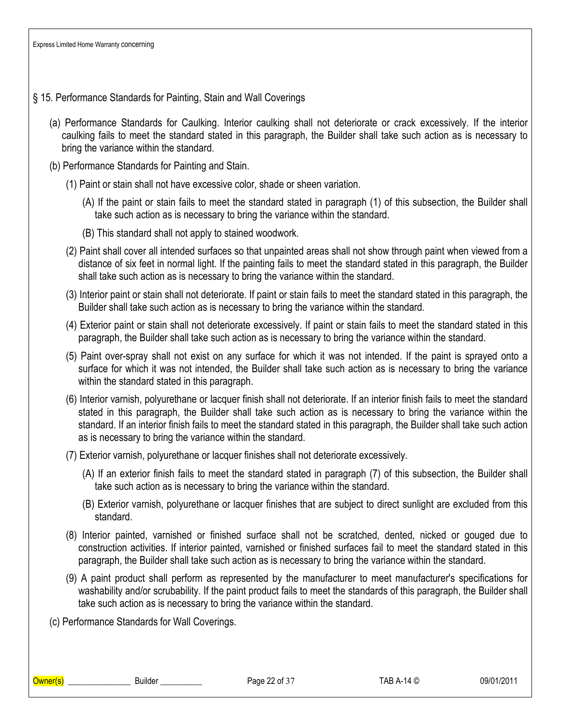## § 15. Performance Standards for Painting, Stain and Wall Coverings

- (a) Performance Standards for Caulking. Interior caulking shall not deteriorate or crack excessively. If the interior caulking fails to meet the standard stated in this paragraph, the Builder shall take such action as is necessary to bring the variance within the standard.
- (b) Performance Standards for Painting and Stain.
	- (1) Paint or stain shall not have excessive color, shade or sheen variation.
		- (A) If the paint or stain fails to meet the standard stated in paragraph (1) of this subsection, the Builder shall take such action as is necessary to bring the variance within the standard.
		- (B) This standard shall not apply to stained woodwork.
	- (2) Paint shall cover all intended surfaces so that unpainted areas shall not show through paint when viewed from a distance of six feet in normal light. If the painting fails to meet the standard stated in this paragraph, the Builder shall take such action as is necessary to bring the variance within the standard.
	- (3) Interior paint or stain shall not deteriorate. If paint or stain fails to meet the standard stated in this paragraph, the Builder shall take such action as is necessary to bring the variance within the standard.
	- (4) Exterior paint or stain shall not deteriorate excessively. If paint or stain fails to meet the standard stated in this paragraph, the Builder shall take such action as is necessary to bring the variance within the standard.
	- (5) Paint over-spray shall not exist on any surface for which it was not intended. If the paint is sprayed onto a surface for which it was not intended, the Builder shall take such action as is necessary to bring the variance within the standard stated in this paragraph.
	- (6) Interior varnish, polyurethane or lacquer finish shall not deteriorate. If an interior finish fails to meet the standard stated in this paragraph, the Builder shall take such action as is necessary to bring the variance within the standard. If an interior finish fails to meet the standard stated in this paragraph, the Builder shall take such action as is necessary to bring the variance within the standard.
	- (7) Exterior varnish, polyurethane or lacquer finishes shall not deteriorate excessively.
		- (A) If an exterior finish fails to meet the standard stated in paragraph (7) of this subsection, the Builder shall take such action as is necessary to bring the variance within the standard.
		- (B) Exterior varnish, polyurethane or lacquer finishes that are subject to direct sunlight are excluded from this standard.
	- (8) Interior painted, varnished or finished surface shall not be scratched, dented, nicked or gouged due to construction activities. If interior painted, varnished or finished surfaces fail to meet the standard stated in this paragraph, the Builder shall take such action as is necessary to bring the variance within the standard.
	- (9) A paint product shall perform as represented by the manufacturer to meet manufacturer's specifications for washability and/or scrubability. If the paint product fails to meet the standards of this paragraph, the Builder shall take such action as is necessary to bring the variance within the standard.
- (c) Performance Standards for Wall Coverings.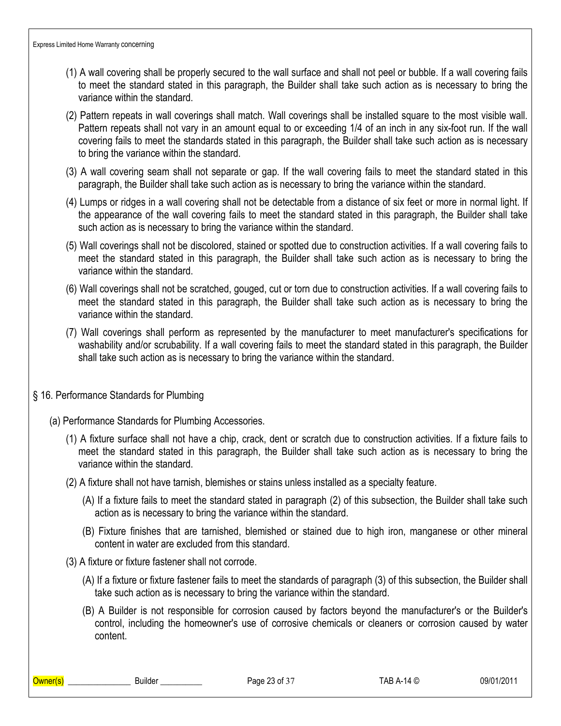- (1) A wall covering shall be properly secured to the wall surface and shall not peel or bubble. If a wall covering fails to meet the standard stated in this paragraph, the Builder shall take such action as is necessary to bring the variance within the standard.
- (2) Pattern repeats in wall coverings shall match. Wall coverings shall be installed square to the most visible wall. Pattern repeats shall not vary in an amount equal to or exceeding 1/4 of an inch in any six-foot run. If the wall covering fails to meet the standards stated in this paragraph, the Builder shall take such action as is necessary to bring the variance within the standard.
- (3) A wall covering seam shall not separate or gap. If the wall covering fails to meet the standard stated in this paragraph, the Builder shall take such action as is necessary to bring the variance within the standard.
- (4) Lumps or ridges in a wall covering shall not be detectable from a distance of six feet or more in normal light. If the appearance of the wall covering fails to meet the standard stated in this paragraph, the Builder shall take such action as is necessary to bring the variance within the standard.
- (5) Wall coverings shall not be discolored, stained or spotted due to construction activities. If a wall covering fails to meet the standard stated in this paragraph, the Builder shall take such action as is necessary to bring the variance within the standard.
- (6) Wall coverings shall not be scratched, gouged, cut or torn due to construction activities. If a wall covering fails to meet the standard stated in this paragraph, the Builder shall take such action as is necessary to bring the variance within the standard.
- (7) Wall coverings shall perform as represented by the manufacturer to meet manufacturer's specifications for washability and/or scrubability. If a wall covering fails to meet the standard stated in this paragraph, the Builder shall take such action as is necessary to bring the variance within the standard.

#### § 16. Performance Standards for Plumbing

- (a) Performance Standards for Plumbing Accessories.
	- (1) A fixture surface shall not have a chip, crack, dent or scratch due to construction activities. If a fixture fails to meet the standard stated in this paragraph, the Builder shall take such action as is necessary to bring the variance within the standard.
	- (2) A fixture shall not have tarnish, blemishes or stains unless installed as a specialty feature.
		- (A) If a fixture fails to meet the standard stated in paragraph (2) of this subsection, the Builder shall take such action as is necessary to bring the variance within the standard.
		- (B) Fixture finishes that are tarnished, blemished or stained due to high iron, manganese or other mineral content in water are excluded from this standard.
	- (3) A fixture or fixture fastener shall not corrode.
		- (A) If a fixture or fixture fastener fails to meet the standards of paragraph (3) of this subsection, the Builder shall take such action as is necessary to bring the variance within the standard.
		- (B) A Builder is not responsible for corrosion caused by factors beyond the manufacturer's or the Builder's control, including the homeowner's use of corrosive chemicals or cleaners or corrosion caused by water content.

\_\_\_\_\_\_\_\_\_\_\_\_\_\_\_\_\_\_\_\_\_\_\_\_\_\_\_\_\_\_\_\_Builder \_\_\_\_\_\_\_\_\_\_\_\_\_\_\_ Page 23 of 37 TAB A-14 © 09/01/2011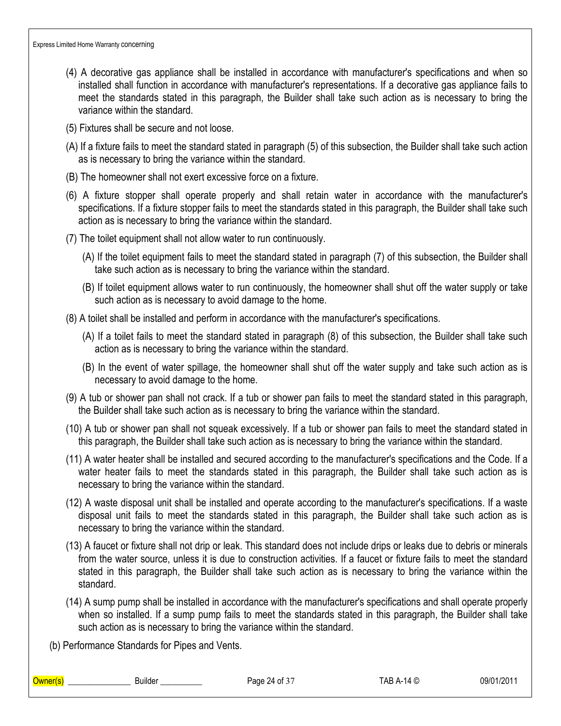- (4) A decorative gas appliance shall be installed in accordance with manufacturer's specifications and when so installed shall function in accordance with manufacturer's representations. If a decorative gas appliance fails to meet the standards stated in this paragraph, the Builder shall take such action as is necessary to bring the variance within the standard.
- (5) Fixtures shall be secure and not loose.
- (A) If a fixture fails to meet the standard stated in paragraph (5) of this subsection, the Builder shall take such action as is necessary to bring the variance within the standard.
- (B) The homeowner shall not exert excessive force on a fixture.
- (6) A fixture stopper shall operate properly and shall retain water in accordance with the manufacturer's specifications. If a fixture stopper fails to meet the standards stated in this paragraph, the Builder shall take such action as is necessary to bring the variance within the standard.
- (7) The toilet equipment shall not allow water to run continuously.
	- (A) If the toilet equipment fails to meet the standard stated in paragraph (7) of this subsection, the Builder shall take such action as is necessary to bring the variance within the standard.
	- (B) If toilet equipment allows water to run continuously, the homeowner shall shut off the water supply or take such action as is necessary to avoid damage to the home.
- (8) A toilet shall be installed and perform in accordance with the manufacturer's specifications.
	- (A) If a toilet fails to meet the standard stated in paragraph (8) of this subsection, the Builder shall take such action as is necessary to bring the variance within the standard.
	- (B) In the event of water spillage, the homeowner shall shut off the water supply and take such action as is necessary to avoid damage to the home.
- (9) A tub or shower pan shall not crack. If a tub or shower pan fails to meet the standard stated in this paragraph, the Builder shall take such action as is necessary to bring the variance within the standard.
- (10) A tub or shower pan shall not squeak excessively. If a tub or shower pan fails to meet the standard stated in this paragraph, the Builder shall take such action as is necessary to bring the variance within the standard.
- (11) A water heater shall be installed and secured according to the manufacturer's specifications and the Code. If a water heater fails to meet the standards stated in this paragraph, the Builder shall take such action as is necessary to bring the variance within the standard.
- (12) A waste disposal unit shall be installed and operate according to the manufacturer's specifications. If a waste disposal unit fails to meet the standards stated in this paragraph, the Builder shall take such action as is necessary to bring the variance within the standard.
- (13) A faucet or fixture shall not drip or leak. This standard does not include drips or leaks due to debris or minerals from the water source, unless it is due to construction activities. If a faucet or fixture fails to meet the standard stated in this paragraph, the Builder shall take such action as is necessary to bring the variance within the standard.
- (14) A sump pump shall be installed in accordance with the manufacturer's specifications and shall operate properly when so installed. If a sump pump fails to meet the standards stated in this paragraph, the Builder shall take such action as is necessary to bring the variance within the standard.
- (b) Performance Standards for Pipes and Vents.

Owner(s) \_\_\_\_\_\_\_\_\_\_\_\_\_\_\_ Builder \_\_\_\_\_\_\_\_\_\_ Page 24 of 37 TAB A-14 © 09/01/2011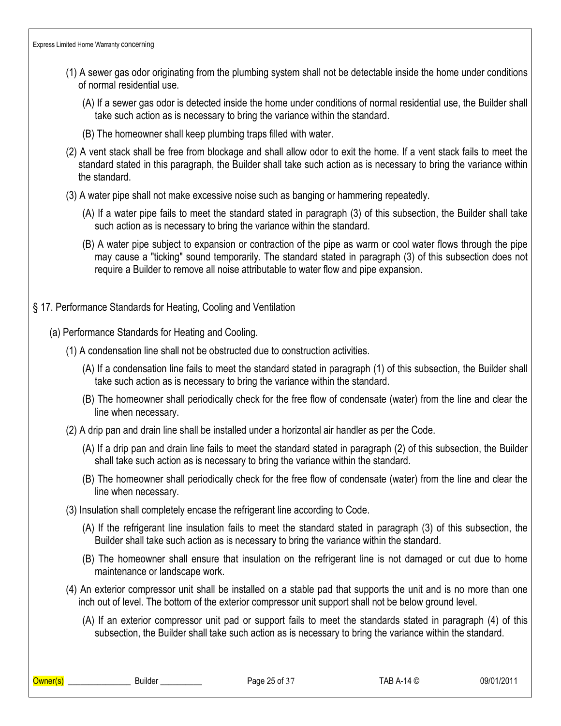- (1) A sewer gas odor originating from the plumbing system shall not be detectable inside the home under conditions of normal residential use.
	- (A) If a sewer gas odor is detected inside the home under conditions of normal residential use, the Builder shall take such action as is necessary to bring the variance within the standard.
	- (B) The homeowner shall keep plumbing traps filled with water.
- (2) A vent stack shall be free from blockage and shall allow odor to exit the home. If a vent stack fails to meet the standard stated in this paragraph, the Builder shall take such action as is necessary to bring the variance within the standard.
- (3) A water pipe shall not make excessive noise such as banging or hammering repeatedly.
	- (A) If a water pipe fails to meet the standard stated in paragraph (3) of this subsection, the Builder shall take such action as is necessary to bring the variance within the standard.
	- (B) A water pipe subject to expansion or contraction of the pipe as warm or cool water flows through the pipe may cause a "ticking" sound temporarily. The standard stated in paragraph (3) of this subsection does not require a Builder to remove all noise attributable to water flow and pipe expansion.
- § 17. Performance Standards for Heating, Cooling and Ventilation
	- (a) Performance Standards for Heating and Cooling.
		- (1) A condensation line shall not be obstructed due to construction activities.
			- (A) If a condensation line fails to meet the standard stated in paragraph (1) of this subsection, the Builder shall take such action as is necessary to bring the variance within the standard.
			- (B) The homeowner shall periodically check for the free flow of condensate (water) from the line and clear the line when necessary.
		- (2) A drip pan and drain line shall be installed under a horizontal air handler as per the Code.
			- (A) If a drip pan and drain line fails to meet the standard stated in paragraph (2) of this subsection, the Builder shall take such action as is necessary to bring the variance within the standard.
			- (B) The homeowner shall periodically check for the free flow of condensate (water) from the line and clear the line when necessary.
		- (3) Insulation shall completely encase the refrigerant line according to Code.
			- (A) If the refrigerant line insulation fails to meet the standard stated in paragraph (3) of this subsection, the Builder shall take such action as is necessary to bring the variance within the standard.
			- (B) The homeowner shall ensure that insulation on the refrigerant line is not damaged or cut due to home maintenance or landscape work.
		- (4) An exterior compressor unit shall be installed on a stable pad that supports the unit and is no more than one inch out of level. The bottom of the exterior compressor unit support shall not be below ground level.
			- (A) If an exterior compressor unit pad or support fails to meet the standards stated in paragraph (4) of this subsection, the Builder shall take such action as is necessary to bring the variance within the standard.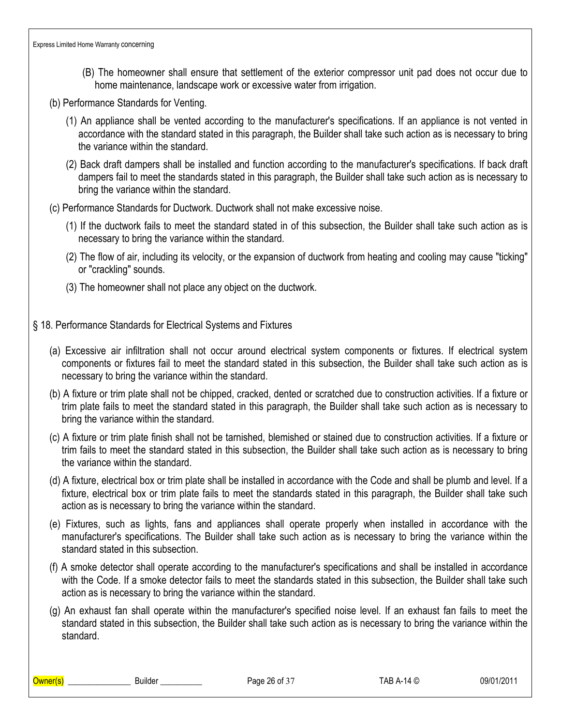- (B) The homeowner shall ensure that settlement of the exterior compressor unit pad does not occur due to home maintenance, landscape work or excessive water from irrigation.
- (b) Performance Standards for Venting.
	- (1) An appliance shall be vented according to the manufacturer's specifications. If an appliance is not vented in accordance with the standard stated in this paragraph, the Builder shall take such action as is necessary to bring the variance within the standard.
	- (2) Back draft dampers shall be installed and function according to the manufacturer's specifications. If back draft dampers fail to meet the standards stated in this paragraph, the Builder shall take such action as is necessary to bring the variance within the standard.
- (c) Performance Standards for Ductwork. Ductwork shall not make excessive noise.
	- (1) If the ductwork fails to meet the standard stated in of this subsection, the Builder shall take such action as is necessary to bring the variance within the standard.
	- (2) The flow of air, including its velocity, or the expansion of ductwork from heating and cooling may cause "ticking" or "crackling" sounds.
	- (3) The homeowner shall not place any object on the ductwork.
- § 18. Performance Standards for Electrical Systems and Fixtures
	- (a) Excessive air infiltration shall not occur around electrical system components or fixtures. If electrical system components or fixtures fail to meet the standard stated in this subsection, the Builder shall take such action as is necessary to bring the variance within the standard.
	- (b) A fixture or trim plate shall not be chipped, cracked, dented or scratched due to construction activities. If a fixture or trim plate fails to meet the standard stated in this paragraph, the Builder shall take such action as is necessary to bring the variance within the standard.
	- (c) A fixture or trim plate finish shall not be tarnished, blemished or stained due to construction activities. If a fixture or trim fails to meet the standard stated in this subsection, the Builder shall take such action as is necessary to bring the variance within the standard.
	- (d) A fixture, electrical box or trim plate shall be installed in accordance with the Code and shall be plumb and level. If a fixture, electrical box or trim plate fails to meet the standards stated in this paragraph, the Builder shall take such action as is necessary to bring the variance within the standard.
	- (e) Fixtures, such as lights, fans and appliances shall operate properly when installed in accordance with the manufacturer's specifications. The Builder shall take such action as is necessary to bring the variance within the standard stated in this subsection.
	- (f) A smoke detector shall operate according to the manufacturer's specifications and shall be installed in accordance with the Code. If a smoke detector fails to meet the standards stated in this subsection, the Builder shall take such action as is necessary to bring the variance within the standard.
	- (g) An exhaust fan shall operate within the manufacturer's specified noise level. If an exhaust fan fails to meet the standard stated in this subsection, the Builder shall take such action as is necessary to bring the variance within the standard.

\_\_\_\_\_\_\_\_\_\_\_\_\_\_\_\_\_\_\_\_\_\_\_\_\_\_\_\_\_\_\_\_Builder \_\_\_\_\_\_\_\_\_\_\_\_\_\_\_ Page 26 of 37 TAB A-14 © 09/01/2011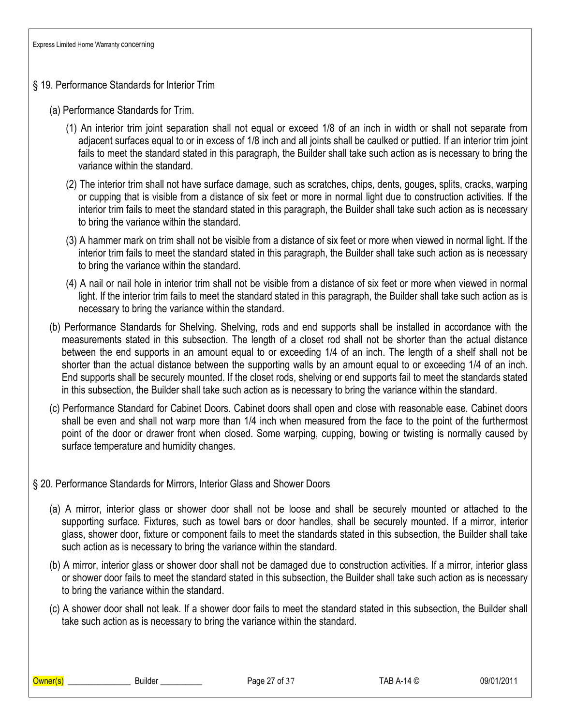- § 19. Performance Standards for Interior Trim
	- (a) Performance Standards for Trim.
		- (1) An interior trim joint separation shall not equal or exceed 1/8 of an inch in width or shall not separate from adjacent surfaces equal to or in excess of 1/8 inch and all joints shall be caulked or puttied. If an interior trim joint fails to meet the standard stated in this paragraph, the Builder shall take such action as is necessary to bring the variance within the standard.
		- (2) The interior trim shall not have surface damage, such as scratches, chips, dents, gouges, splits, cracks, warping or cupping that is visible from a distance of six feet or more in normal light due to construction activities. If the interior trim fails to meet the standard stated in this paragraph, the Builder shall take such action as is necessary to bring the variance within the standard.
		- (3) A hammer mark on trim shall not be visible from a distance of six feet or more when viewed in normal light. If the interior trim fails to meet the standard stated in this paragraph, the Builder shall take such action as is necessary to bring the variance within the standard.
		- (4) A nail or nail hole in interior trim shall not be visible from a distance of six feet or more when viewed in normal light. If the interior trim fails to meet the standard stated in this paragraph, the Builder shall take such action as is necessary to bring the variance within the standard.
	- (b) Performance Standards for Shelving. Shelving, rods and end supports shall be installed in accordance with the measurements stated in this subsection. The length of a closet rod shall not be shorter than the actual distance between the end supports in an amount equal to or exceeding 1/4 of an inch. The length of a shelf shall not be shorter than the actual distance between the supporting walls by an amount equal to or exceeding 1/4 of an inch. End supports shall be securely mounted. If the closet rods, shelving or end supports fail to meet the standards stated in this subsection, the Builder shall take such action as is necessary to bring the variance within the standard.
	- (c) Performance Standard for Cabinet Doors. Cabinet doors shall open and close with reasonable ease. Cabinet doors shall be even and shall not warp more than 1/4 inch when measured from the face to the point of the furthermost point of the door or drawer front when closed. Some warping, cupping, bowing or twisting is normally caused by surface temperature and humidity changes.

#### § 20. Performance Standards for Mirrors, Interior Glass and Shower Doors

- (a) A mirror, interior glass or shower door shall not be loose and shall be securely mounted or attached to the supporting surface. Fixtures, such as towel bars or door handles, shall be securely mounted. If a mirror, interior glass, shower door, fixture or component fails to meet the standards stated in this subsection, the Builder shall take such action as is necessary to bring the variance within the standard.
- (b) A mirror, interior glass or shower door shall not be damaged due to construction activities. If a mirror, interior glass or shower door fails to meet the standard stated in this subsection, the Builder shall take such action as is necessary to bring the variance within the standard.
- (c) A shower door shall not leak. If a shower door fails to meet the standard stated in this subsection, the Builder shall take such action as is necessary to bring the variance within the standard.

\_\_\_\_\_\_\_\_\_\_\_\_\_\_\_\_\_\_\_\_\_\_\_\_\_\_\_\_\_\_\_\_Builder \_\_\_\_\_\_\_\_\_\_\_\_\_\_\_ Page 27 of 37 TAB A-14 © 09/01/2011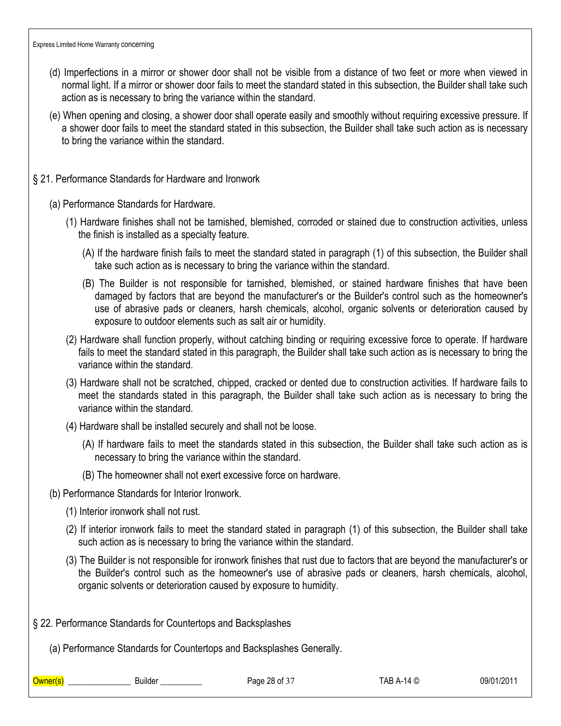Express Limited Home Warranty concerning

- (d) Imperfections in a mirror or shower door shall not be visible from a distance of two feet or more when viewed in normal light. If a mirror or shower door fails to meet the standard stated in this subsection, the Builder shall take such action as is necessary to bring the variance within the standard.
- (e) When opening and closing, a shower door shall operate easily and smoothly without requiring excessive pressure. If a shower door fails to meet the standard stated in this subsection, the Builder shall take such action as is necessary to bring the variance within the standard.
- § 21. Performance Standards for Hardware and Ironwork
	- (a) Performance Standards for Hardware.
		- (1) Hardware finishes shall not be tarnished, blemished, corroded or stained due to construction activities, unless the finish is installed as a specialty feature.
			- (A) If the hardware finish fails to meet the standard stated in paragraph (1) of this subsection, the Builder shall take such action as is necessary to bring the variance within the standard.
			- (B) The Builder is not responsible for tarnished, blemished, or stained hardware finishes that have been damaged by factors that are beyond the manufacturer's or the Builder's control such as the homeowner's use of abrasive pads or cleaners, harsh chemicals, alcohol, organic solvents or deterioration caused by exposure to outdoor elements such as salt air or humidity.
		- (2) Hardware shall function properly, without catching binding or requiring excessive force to operate. If hardware fails to meet the standard stated in this paragraph, the Builder shall take such action as is necessary to bring the variance within the standard.
		- (3) Hardware shall not be scratched, chipped, cracked or dented due to construction activities. If hardware fails to meet the standards stated in this paragraph, the Builder shall take such action as is necessary to bring the variance within the standard.
		- (4) Hardware shall be installed securely and shall not be loose.
			- (A) If hardware fails to meet the standards stated in this subsection, the Builder shall take such action as is necessary to bring the variance within the standard.
			- (B) The homeowner shall not exert excessive force on hardware.
	- (b) Performance Standards for Interior Ironwork.
		- (1) Interior ironwork shall not rust.
		- (2) If interior ironwork fails to meet the standard stated in paragraph (1) of this subsection, the Builder shall take such action as is necessary to bring the variance within the standard.
		- (3) The Builder is not responsible for ironwork finishes that rust due to factors that are beyond the manufacturer's or the Builder's control such as the homeowner's use of abrasive pads or cleaners, harsh chemicals, alcohol, organic solvents or deterioration caused by exposure to humidity.
- § 22. Performance Standards for Countertops and Backsplashes

(a) Performance Standards for Countertops and Backsplashes Generally.

Owner(s) Builder Page 28 of 37 TAB A-14 © 09/01/2011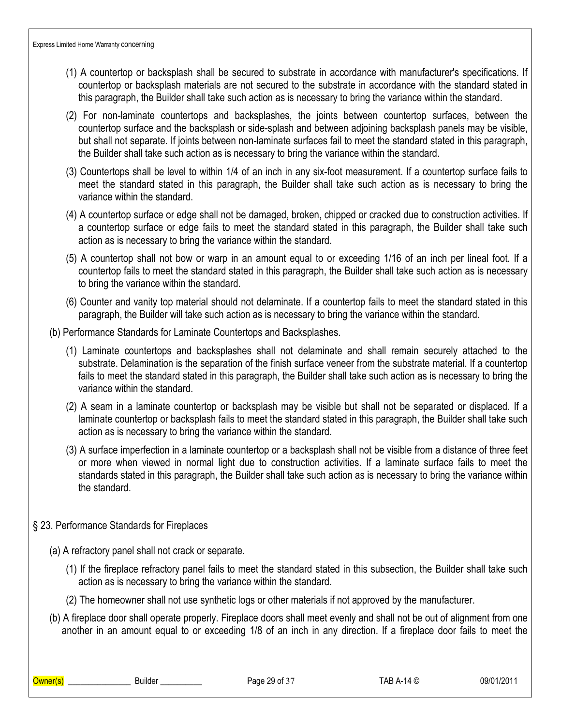- (1) A countertop or backsplash shall be secured to substrate in accordance with manufacturer's specifications. If countertop or backsplash materials are not secured to the substrate in accordance with the standard stated in this paragraph, the Builder shall take such action as is necessary to bring the variance within the standard.
- (2) For non-laminate countertops and backsplashes, the joints between countertop surfaces, between the countertop surface and the backsplash or side-splash and between adjoining backsplash panels may be visible, but shall not separate. If joints between non-laminate surfaces fail to meet the standard stated in this paragraph, the Builder shall take such action as is necessary to bring the variance within the standard.
- (3) Countertops shall be level to within 1/4 of an inch in any six-foot measurement. If a countertop surface fails to meet the standard stated in this paragraph, the Builder shall take such action as is necessary to bring the variance within the standard.
- (4) A countertop surface or edge shall not be damaged, broken, chipped or cracked due to construction activities. If a countertop surface or edge fails to meet the standard stated in this paragraph, the Builder shall take such action as is necessary to bring the variance within the standard.
- (5) A countertop shall not bow or warp in an amount equal to or exceeding 1/16 of an inch per lineal foot. If a countertop fails to meet the standard stated in this paragraph, the Builder shall take such action as is necessary to bring the variance within the standard.
- (6) Counter and vanity top material should not delaminate. If a countertop fails to meet the standard stated in this paragraph, the Builder will take such action as is necessary to bring the variance within the standard.
- (b) Performance Standards for Laminate Countertops and Backsplashes.
	- (1) Laminate countertops and backsplashes shall not delaminate and shall remain securely attached to the substrate. Delamination is the separation of the finish surface veneer from the substrate material. If a countertop fails to meet the standard stated in this paragraph, the Builder shall take such action as is necessary to bring the variance within the standard.
	- (2) A seam in a laminate countertop or backsplash may be visible but shall not be separated or displaced. If a laminate countertop or backsplash fails to meet the standard stated in this paragraph, the Builder shall take such action as is necessary to bring the variance within the standard.
	- (3) A surface imperfection in a laminate countertop or a backsplash shall not be visible from a distance of three feet or more when viewed in normal light due to construction activities. If a laminate surface fails to meet the standards stated in this paragraph, the Builder shall take such action as is necessary to bring the variance within the standard.
- § 23. Performance Standards for Fireplaces
	- (a) A refractory panel shall not crack or separate.
		- (1) If the fireplace refractory panel fails to meet the standard stated in this subsection, the Builder shall take such action as is necessary to bring the variance within the standard.
		- (2) The homeowner shall not use synthetic logs or other materials if not approved by the manufacturer.
	- (b) A fireplace door shall operate properly. Fireplace doors shall meet evenly and shall not be out of alignment from one another in an amount equal to or exceeding 1/8 of an inch in any direction. If a fireplace door fails to meet the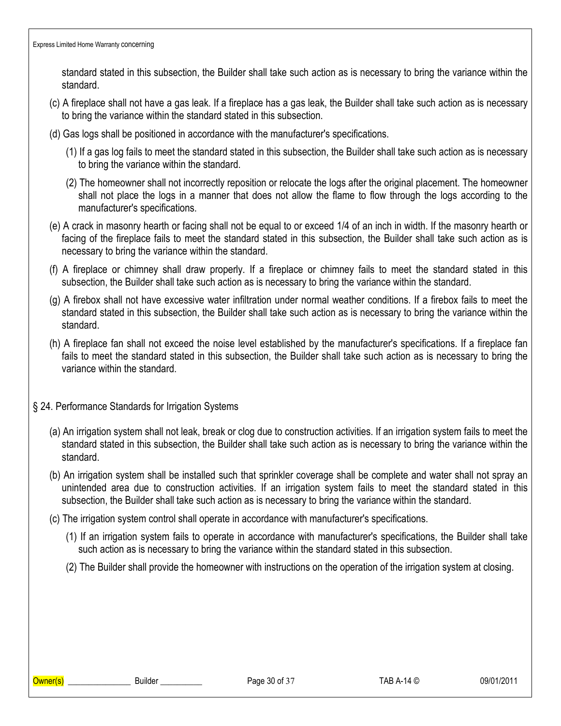standard stated in this subsection, the Builder shall take such action as is necessary to bring the variance within the standard.

- (c) A fireplace shall not have a gas leak. If a fireplace has a gas leak, the Builder shall take such action as is necessary to bring the variance within the standard stated in this subsection.
- (d) Gas logs shall be positioned in accordance with the manufacturer's specifications.
	- (1) If a gas log fails to meet the standard stated in this subsection, the Builder shall take such action as is necessary to bring the variance within the standard.
	- (2) The homeowner shall not incorrectly reposition or relocate the logs after the original placement. The homeowner shall not place the logs in a manner that does not allow the flame to flow through the logs according to the manufacturer's specifications.
- (e) A crack in masonry hearth or facing shall not be equal to or exceed 1/4 of an inch in width. If the masonry hearth or facing of the fireplace fails to meet the standard stated in this subsection, the Builder shall take such action as is necessary to bring the variance within the standard.
- (f) A fireplace or chimney shall draw properly. If a fireplace or chimney fails to meet the standard stated in this subsection, the Builder shall take such action as is necessary to bring the variance within the standard.
- (g) A firebox shall not have excessive water infiltration under normal weather conditions. If a firebox fails to meet the standard stated in this subsection, the Builder shall take such action as is necessary to bring the variance within the standard.
- (h) A fireplace fan shall not exceed the noise level established by the manufacturer's specifications. If a fireplace fan fails to meet the standard stated in this subsection, the Builder shall take such action as is necessary to bring the variance within the standard.
- § 24. Performance Standards for Irrigation Systems
	- (a) An irrigation system shall not leak, break or clog due to construction activities. If an irrigation system fails to meet the standard stated in this subsection, the Builder shall take such action as is necessary to bring the variance within the standard.
	- (b) An irrigation system shall be installed such that sprinkler coverage shall be complete and water shall not spray an unintended area due to construction activities. If an irrigation system fails to meet the standard stated in this subsection, the Builder shall take such action as is necessary to bring the variance within the standard.
	- (c) The irrigation system control shall operate in accordance with manufacturer's specifications.
		- (1) If an irrigation system fails to operate in accordance with manufacturer's specifications, the Builder shall take such action as is necessary to bring the variance within the standard stated in this subsection.
		- (2) The Builder shall provide the homeowner with instructions on the operation of the irrigation system at closing.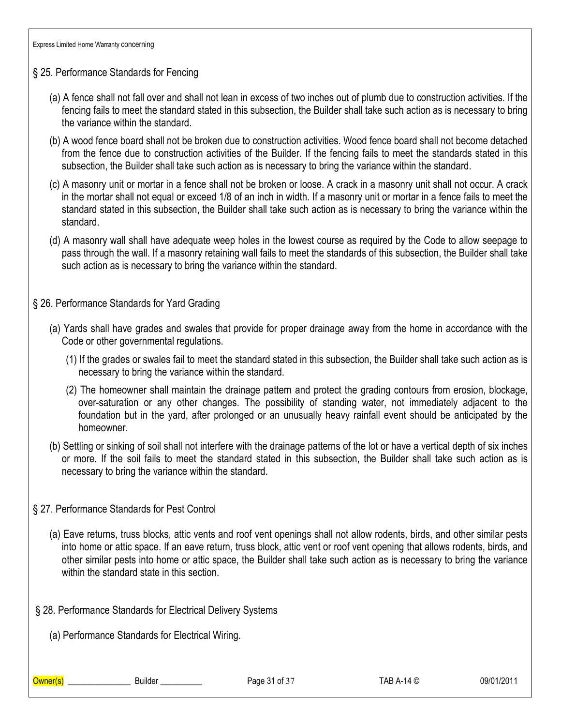- § 25. Performance Standards for Fencing
	- (a) A fence shall not fall over and shall not lean in excess of two inches out of plumb due to construction activities. If the fencing fails to meet the standard stated in this subsection, the Builder shall take such action as is necessary to bring the variance within the standard.
	- (b) A wood fence board shall not be broken due to construction activities. Wood fence board shall not become detached from the fence due to construction activities of the Builder. If the fencing fails to meet the standards stated in this subsection, the Builder shall take such action as is necessary to bring the variance within the standard.
	- (c) A masonry unit or mortar in a fence shall not be broken or loose. A crack in a masonry unit shall not occur. A crack in the mortar shall not equal or exceed 1/8 of an inch in width. If a masonry unit or mortar in a fence fails to meet the standard stated in this subsection, the Builder shall take such action as is necessary to bring the variance within the standard.
	- (d) A masonry wall shall have adequate weep holes in the lowest course as required by the Code to allow seepage to pass through the wall. If a masonry retaining wall fails to meet the standards of this subsection, the Builder shall take such action as is necessary to bring the variance within the standard.
- § 26. Performance Standards for Yard Grading
	- (a) Yards shall have grades and swales that provide for proper drainage away from the home in accordance with the Code or other governmental regulations.
		- (1) If the grades or swales fail to meet the standard stated in this subsection, the Builder shall take such action as is necessary to bring the variance within the standard.
		- (2) The homeowner shall maintain the drainage pattern and protect the grading contours from erosion, blockage, over-saturation or any other changes. The possibility of standing water, not immediately adjacent to the foundation but in the yard, after prolonged or an unusually heavy rainfall event should be anticipated by the homeowner.
	- (b) Settling or sinking of soil shall not interfere with the drainage patterns of the lot or have a vertical depth of six inches or more. If the soil fails to meet the standard stated in this subsection, the Builder shall take such action as is necessary to bring the variance within the standard.
- § 27. Performance Standards for Pest Control
	- (a) Eave returns, truss blocks, attic vents and roof vent openings shall not allow rodents, birds, and other similar pests into home or attic space. If an eave return, truss block, attic vent or roof vent opening that allows rodents, birds, and other similar pests into home or attic space, the Builder shall take such action as is necessary to bring the variance within the standard state in this section.
- § 28. Performance Standards for Electrical Delivery Systems

(a) Performance Standards for Electrical Wiring.

Owner(s) \_\_\_\_\_\_\_\_\_\_\_\_\_\_\_ Builder \_\_\_\_\_\_\_\_\_\_ Page 31 of 37 TAB A-14 © 09/01/2011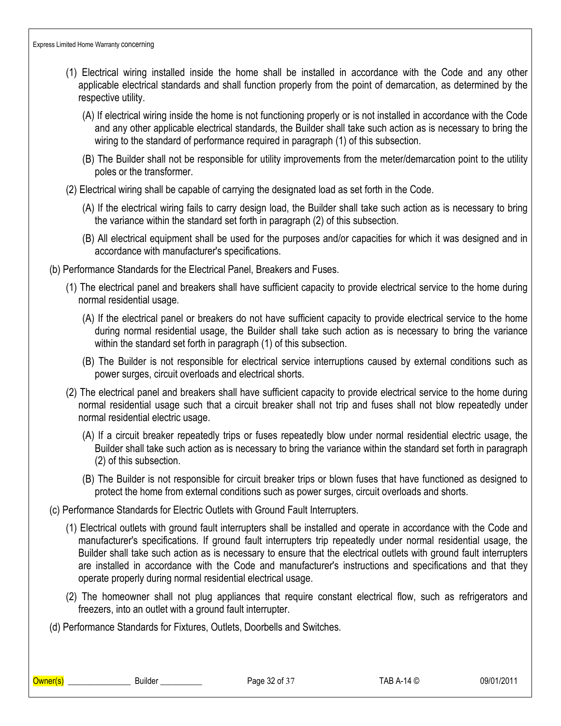- (1) Electrical wiring installed inside the home shall be installed in accordance with the Code and any other applicable electrical standards and shall function properly from the point of demarcation, as determined by the respective utility.
	- (A) If electrical wiring inside the home is not functioning properly or is not installed in accordance with the Code and any other applicable electrical standards, the Builder shall take such action as is necessary to bring the wiring to the standard of performance required in paragraph (1) of this subsection.
	- (B) The Builder shall not be responsible for utility improvements from the meter/demarcation point to the utility poles or the transformer.
- (2) Electrical wiring shall be capable of carrying the designated load as set forth in the Code.
	- (A) If the electrical wiring fails to carry design load, the Builder shall take such action as is necessary to bring the variance within the standard set forth in paragraph (2) of this subsection.
	- (B) All electrical equipment shall be used for the purposes and/or capacities for which it was designed and in accordance with manufacturer's specifications.
- (b) Performance Standards for the Electrical Panel, Breakers and Fuses.
	- (1) The electrical panel and breakers shall have sufficient capacity to provide electrical service to the home during normal residential usage.
		- (A) If the electrical panel or breakers do not have sufficient capacity to provide electrical service to the home during normal residential usage, the Builder shall take such action as is necessary to bring the variance within the standard set forth in paragraph (1) of this subsection.
		- (B) The Builder is not responsible for electrical service interruptions caused by external conditions such as power surges, circuit overloads and electrical shorts.
	- (2) The electrical panel and breakers shall have sufficient capacity to provide electrical service to the home during normal residential usage such that a circuit breaker shall not trip and fuses shall not blow repeatedly under normal residential electric usage.
		- (A) If a circuit breaker repeatedly trips or fuses repeatedly blow under normal residential electric usage, the Builder shall take such action as is necessary to bring the variance within the standard set forth in paragraph (2) of this subsection.
		- (B) The Builder is not responsible for circuit breaker trips or blown fuses that have functioned as designed to protect the home from external conditions such as power surges, circuit overloads and shorts.
- (c) Performance Standards for Electric Outlets with Ground Fault Interrupters.
	- (1) Electrical outlets with ground fault interrupters shall be installed and operate in accordance with the Code and manufacturer's specifications. If ground fault interrupters trip repeatedly under normal residential usage, the Builder shall take such action as is necessary to ensure that the electrical outlets with ground fault interrupters are installed in accordance with the Code and manufacturer's instructions and specifications and that they operate properly during normal residential electrical usage.
	- (2) The homeowner shall not plug appliances that require constant electrical flow, such as refrigerators and freezers, into an outlet with a ground fault interrupter.
- (d) Performance Standards for Fixtures, Outlets, Doorbells and Switches.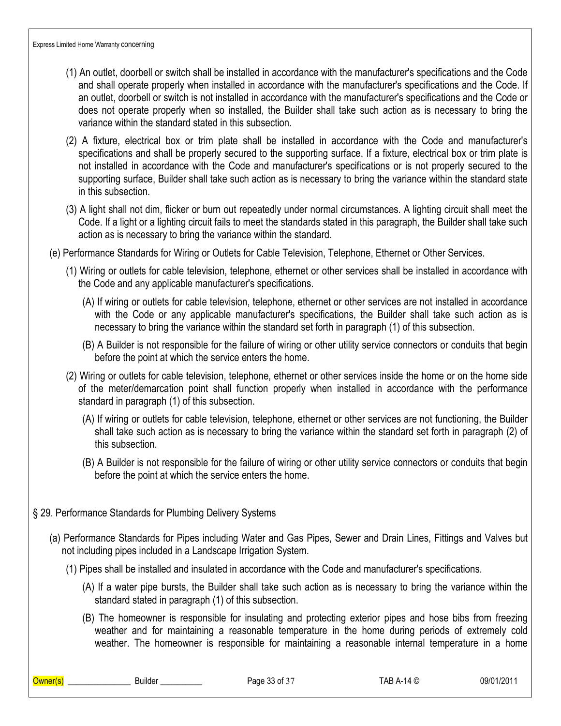- (1) An outlet, doorbell or switch shall be installed in accordance with the manufacturer's specifications and the Code and shall operate properly when installed in accordance with the manufacturer's specifications and the Code. If an outlet, doorbell or switch is not installed in accordance with the manufacturer's specifications and the Code or does not operate properly when so installed, the Builder shall take such action as is necessary to bring the variance within the standard stated in this subsection.
- (2) A fixture, electrical box or trim plate shall be installed in accordance with the Code and manufacturer's specifications and shall be properly secured to the supporting surface. If a fixture, electrical box or trim plate is not installed in accordance with the Code and manufacturer's specifications or is not properly secured to the supporting surface, Builder shall take such action as is necessary to bring the variance within the standard state in this subsection.
- (3) A light shall not dim, flicker or burn out repeatedly under normal circumstances. A lighting circuit shall meet the Code. If a light or a lighting circuit fails to meet the standards stated in this paragraph, the Builder shall take such action as is necessary to bring the variance within the standard.
- (e) Performance Standards for Wiring or Outlets for Cable Television, Telephone, Ethernet or Other Services.
	- (1) Wiring or outlets for cable television, telephone, ethernet or other services shall be installed in accordance with the Code and any applicable manufacturer's specifications.
		- (A) If wiring or outlets for cable television, telephone, ethernet or other services are not installed in accordance with the Code or any applicable manufacturer's specifications, the Builder shall take such action as is necessary to bring the variance within the standard set forth in paragraph (1) of this subsection.
		- (B) A Builder is not responsible for the failure of wiring or other utility service connectors or conduits that begin before the point at which the service enters the home.
	- (2) Wiring or outlets for cable television, telephone, ethernet or other services inside the home or on the home side of the meter/demarcation point shall function properly when installed in accordance with the performance standard in paragraph (1) of this subsection.
		- (A) If wiring or outlets for cable television, telephone, ethernet or other services are not functioning, the Builder shall take such action as is necessary to bring the variance within the standard set forth in paragraph (2) of this subsection.
		- (B) A Builder is not responsible for the failure of wiring or other utility service connectors or conduits that begin before the point at which the service enters the home.
- § 29. Performance Standards for Plumbing Delivery Systems
	- (a) Performance Standards for Pipes including Water and Gas Pipes, Sewer and Drain Lines, Fittings and Valves but not including pipes included in a Landscape Irrigation System.
		- (1) Pipes shall be installed and insulated in accordance with the Code and manufacturer's specifications.
			- (A) If a water pipe bursts, the Builder shall take such action as is necessary to bring the variance within the standard stated in paragraph (1) of this subsection.
			- (B) The homeowner is responsible for insulating and protecting exterior pipes and hose bibs from freezing weather and for maintaining a reasonable temperature in the home during periods of extremely cold weather. The homeowner is responsible for maintaining a reasonable internal temperature in a home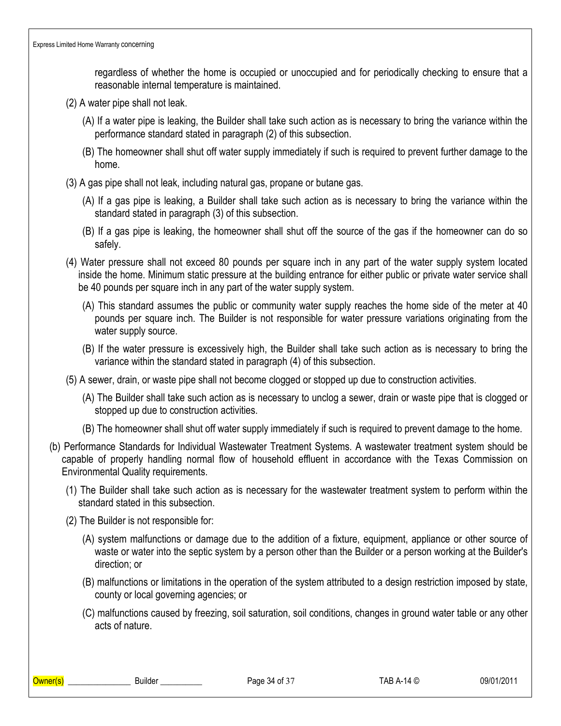regardless of whether the home is occupied or unoccupied and for periodically checking to ensure that a reasonable internal temperature is maintained.

- (2) A water pipe shall not leak.
	- (A) If a water pipe is leaking, the Builder shall take such action as is necessary to bring the variance within the performance standard stated in paragraph (2) of this subsection.
	- (B) The homeowner shall shut off water supply immediately if such is required to prevent further damage to the home.
- (3) A gas pipe shall not leak, including natural gas, propane or butane gas.
	- (A) If a gas pipe is leaking, a Builder shall take such action as is necessary to bring the variance within the standard stated in paragraph (3) of this subsection.
	- (B) If a gas pipe is leaking, the homeowner shall shut off the source of the gas if the homeowner can do so safely.
- (4) Water pressure shall not exceed 80 pounds per square inch in any part of the water supply system located inside the home. Minimum static pressure at the building entrance for either public or private water service shall be 40 pounds per square inch in any part of the water supply system.
	- (A) This standard assumes the public or community water supply reaches the home side of the meter at 40 pounds per square inch. The Builder is not responsible for water pressure variations originating from the water supply source.
	- (B) If the water pressure is excessively high, the Builder shall take such action as is necessary to bring the variance within the standard stated in paragraph (4) of this subsection.
- (5) A sewer, drain, or waste pipe shall not become clogged or stopped up due to construction activities.
	- (A) The Builder shall take such action as is necessary to unclog a sewer, drain or waste pipe that is clogged or stopped up due to construction activities.
	- (B) The homeowner shall shut off water supply immediately if such is required to prevent damage to the home.
- (b) Performance Standards for Individual Wastewater Treatment Systems. A wastewater treatment system should be capable of properly handling normal flow of household effluent in accordance with the Texas Commission on Environmental Quality requirements.
	- (1) The Builder shall take such action as is necessary for the wastewater treatment system to perform within the standard stated in this subsection.
	- (2) The Builder is not responsible for:
		- (A) system malfunctions or damage due to the addition of a fixture, equipment, appliance or other source of waste or water into the septic system by a person other than the Builder or a person working at the Builder's direction; or
		- (B) malfunctions or limitations in the operation of the system attributed to a design restriction imposed by state, county or local governing agencies; or
		- (C) malfunctions caused by freezing, soil saturation, soil conditions, changes in ground water table or any other acts of nature.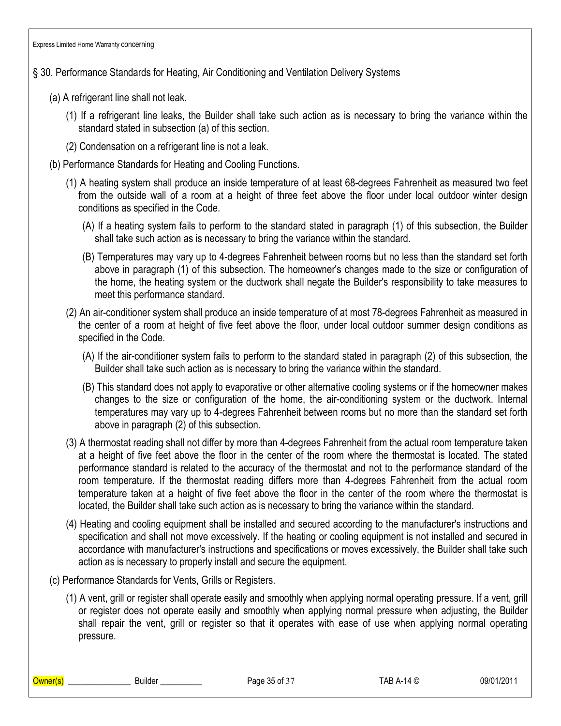### § 30. Performance Standards for Heating, Air Conditioning and Ventilation Delivery Systems

- (a) A refrigerant line shall not leak.
	- (1) If a refrigerant line leaks, the Builder shall take such action as is necessary to bring the variance within the standard stated in subsection (a) of this section.
	- (2) Condensation on a refrigerant line is not a leak.
- (b) Performance Standards for Heating and Cooling Functions.
	- (1) A heating system shall produce an inside temperature of at least 68-degrees Fahrenheit as measured two feet from the outside wall of a room at a height of three feet above the floor under local outdoor winter design conditions as specified in the Code.
		- (A) If a heating system fails to perform to the standard stated in paragraph (1) of this subsection, the Builder shall take such action as is necessary to bring the variance within the standard.
		- (B) Temperatures may vary up to 4-degrees Fahrenheit between rooms but no less than the standard set forth above in paragraph (1) of this subsection. The homeowner's changes made to the size or configuration of the home, the heating system or the ductwork shall negate the Builder's responsibility to take measures to meet this performance standard.
	- (2) An air-conditioner system shall produce an inside temperature of at most 78-degrees Fahrenheit as measured in the center of a room at height of five feet above the floor, under local outdoor summer design conditions as specified in the Code.
		- (A) If the air-conditioner system fails to perform to the standard stated in paragraph (2) of this subsection, the Builder shall take such action as is necessary to bring the variance within the standard.
		- (B) This standard does not apply to evaporative or other alternative cooling systems or if the homeowner makes changes to the size or configuration of the home, the air-conditioning system or the ductwork. Internal temperatures may vary up to 4-degrees Fahrenheit between rooms but no more than the standard set forth above in paragraph (2) of this subsection.
	- (3) A thermostat reading shall not differ by more than 4-degrees Fahrenheit from the actual room temperature taken at a height of five feet above the floor in the center of the room where the thermostat is located. The stated performance standard is related to the accuracy of the thermostat and not to the performance standard of the room temperature. If the thermostat reading differs more than 4-degrees Fahrenheit from the actual room temperature taken at a height of five feet above the floor in the center of the room where the thermostat is located, the Builder shall take such action as is necessary to bring the variance within the standard.
	- (4) Heating and cooling equipment shall be installed and secured according to the manufacturer's instructions and specification and shall not move excessively. If the heating or cooling equipment is not installed and secured in accordance with manufacturer's instructions and specifications or moves excessively, the Builder shall take such action as is necessary to properly install and secure the equipment.
- (c) Performance Standards for Vents, Grills or Registers.
	- (1) A vent, grill or register shall operate easily and smoothly when applying normal operating pressure. If a vent, grill or register does not operate easily and smoothly when applying normal pressure when adjusting, the Builder shall repair the vent, grill or register so that it operates with ease of use when applying normal operating pressure.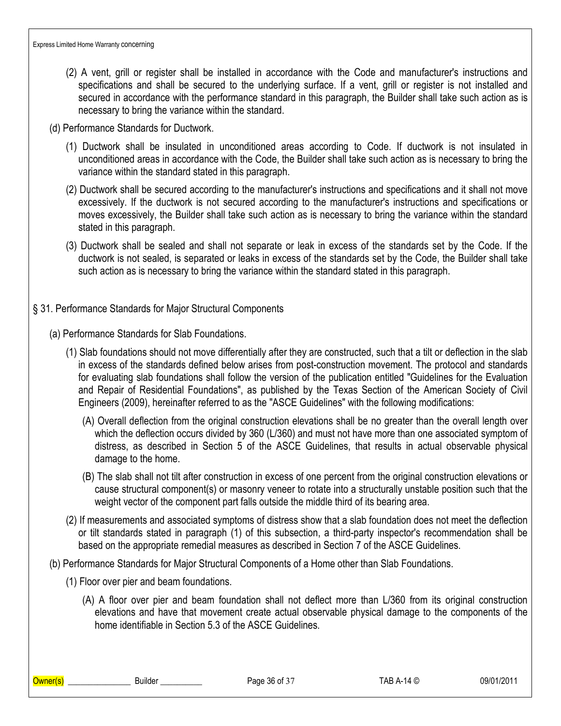- (2) A vent, grill or register shall be installed in accordance with the Code and manufacturer's instructions and specifications and shall be secured to the underlying surface. If a vent, grill or register is not installed and secured in accordance with the performance standard in this paragraph, the Builder shall take such action as is necessary to bring the variance within the standard.
- (d) Performance Standards for Ductwork.
	- (1) Ductwork shall be insulated in unconditioned areas according to Code. If ductwork is not insulated in unconditioned areas in accordance with the Code, the Builder shall take such action as is necessary to bring the variance within the standard stated in this paragraph.
	- (2) Ductwork shall be secured according to the manufacturer's instructions and specifications and it shall not move excessively. If the ductwork is not secured according to the manufacturer's instructions and specifications or moves excessively, the Builder shall take such action as is necessary to bring the variance within the standard stated in this paragraph.
	- (3) Ductwork shall be sealed and shall not separate or leak in excess of the standards set by the Code. If the ductwork is not sealed, is separated or leaks in excess of the standards set by the Code, the Builder shall take such action as is necessary to bring the variance within the standard stated in this paragraph.
- § 31. Performance Standards for Major Structural Components
	- (a) Performance Standards for Slab Foundations.
		- (1) Slab foundations should not move differentially after they are constructed, such that a tilt or deflection in the slab in excess of the standards defined below arises from post-construction movement. The protocol and standards for evaluating slab foundations shall follow the version of the publication entitled "Guidelines for the Evaluation and Repair of Residential Foundations", as published by the Texas Section of the American Society of Civil Engineers (2009), hereinafter referred to as the "ASCE Guidelines" with the following modifications:
			- (A) Overall deflection from the original construction elevations shall be no greater than the overall length over which the deflection occurs divided by 360 (L/360) and must not have more than one associated symptom of distress, as described in Section 5 of the ASCE Guidelines, that results in actual observable physical damage to the home.
			- (B) The slab shall not tilt after construction in excess of one percent from the original construction elevations or cause structural component(s) or masonry veneer to rotate into a structurally unstable position such that the weight vector of the component part falls outside the middle third of its bearing area.
		- (2) If measurements and associated symptoms of distress show that a slab foundation does not meet the deflection or tilt standards stated in paragraph (1) of this subsection, a third-party inspector's recommendation shall be based on the appropriate remedial measures as described in Section 7 of the ASCE Guidelines.
	- (b) Performance Standards for Major Structural Components of a Home other than Slab Foundations.
		- (1) Floor over pier and beam foundations.
			- (A) A floor over pier and beam foundation shall not deflect more than L/360 from its original construction elevations and have that movement create actual observable physical damage to the components of the home identifiable in Section 5.3 of the ASCE Guidelines.